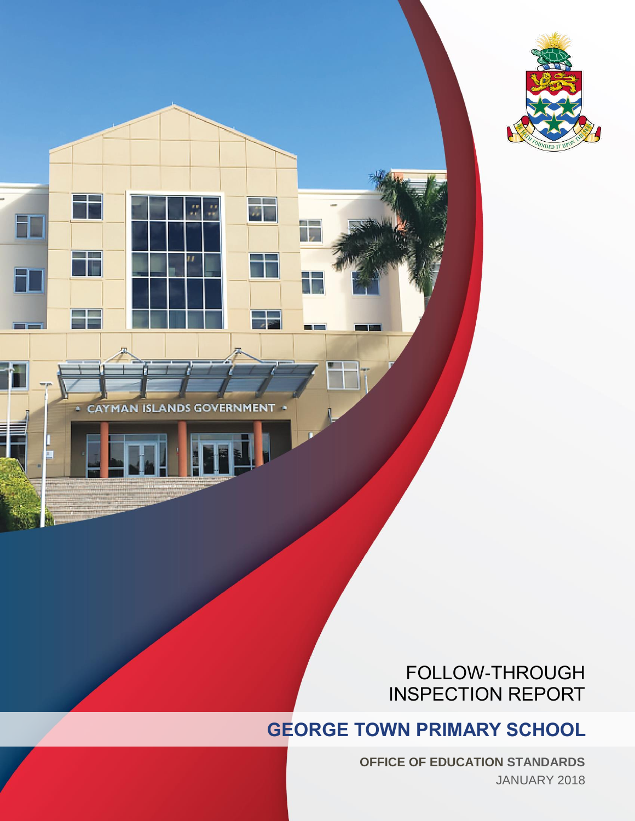

**CAYMAN ISLANDS GOVERNMENT** 

 $\overline{u}$ 

自言

# FOLLOW-THROUGH INSPECTION REPORT

# **GEORGE TOWN PRIMARY SCHOOL**

**OFFICE OF EDUCATION STANDARDS** JANUARY 2018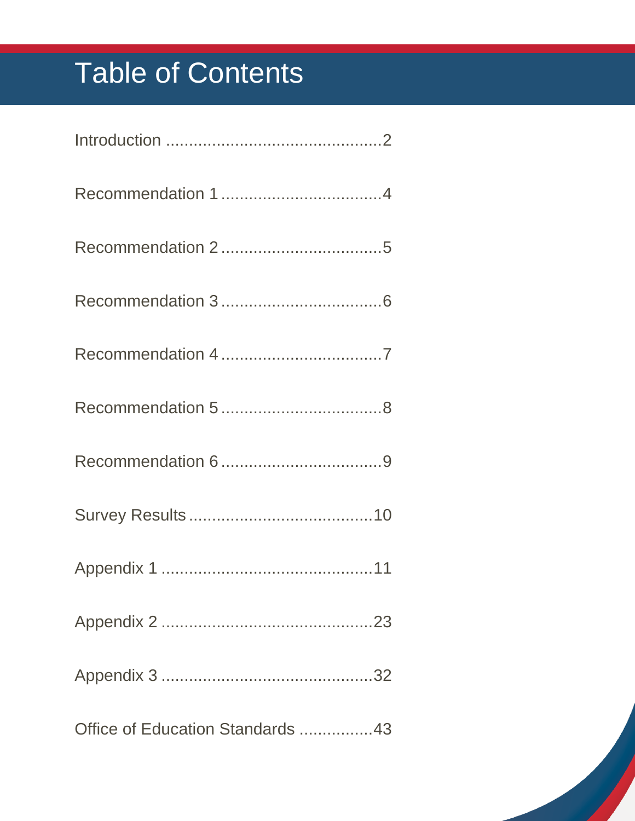# Table of Contents

| Office of Education Standards 43 |
|----------------------------------|

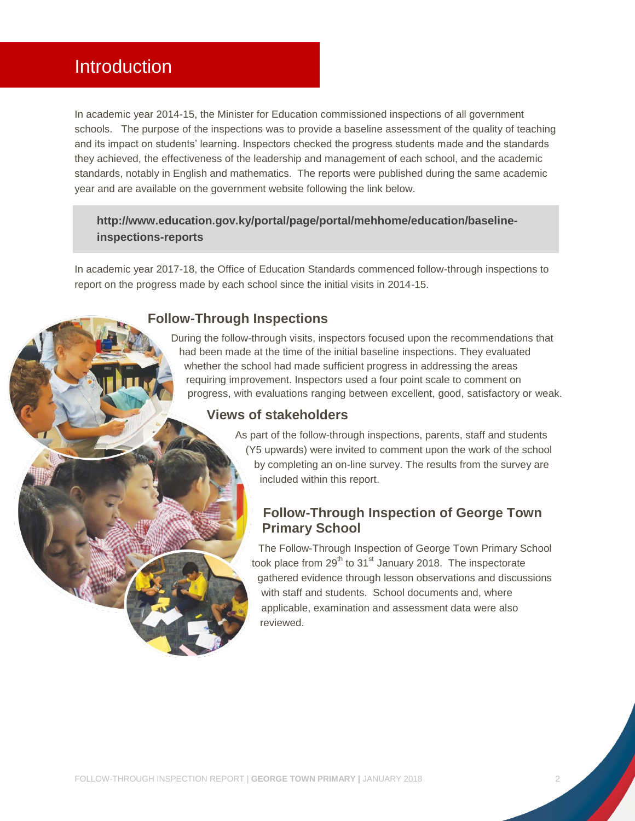# <span id="page-2-0"></span>Introduction

In academic year 2014-15, the Minister for Education commissioned inspections of all government schools. The purpose of the inspections was to provide a baseline assessment of the quality of teaching and its impact on students' learning. Inspectors checked the progress students made and the standards they achieved, the effectiveness of the leadership and management of each school, and the academic standards, notably in English and mathematics. The reports were published during the same academic year and are available on the government website following the link below.

# **[http://www.education.gov.ky/portal/page/portal/mehhome/education/baseline](http://www.education.gov.ky/portal/page/portal/mehhome/education/baseline-inspections-reports)[inspections-reports](http://www.education.gov.ky/portal/page/portal/mehhome/education/baseline-inspections-reports)**

In academic year 2017-18, the Office of Education Standards commenced follow-through inspections to report on the progress made by each school since the initial visits in 2014-15.

#### **Follow-Through Inspections**

During the follow-through visits, inspectors focused upon the recommendations that had been made at the time of the initial baseline inspections. They evaluated whether the school had made sufficient progress in addressing the areas requiring improvement. Inspectors used a four point scale to comment on progress, with evaluations ranging between excellent, good, satisfactory or weak.

#### **Views of stakeholders**

As part of the follow-through inspections, parents, staff and students (Y5 upwards) were invited to comment upon the work of the school by completing an on-line survey. The results from the survey are included within this report.

# **Follow-Through Inspection of George Town Primary School**

The Follow-Through Inspection of George Town Primary School took place from  $29^{th}$  to  $31^{st}$  January 2018. The inspectorate gathered evidence through lesson observations and discussions with staff and students. School documents and, where applicable, examination and assessment data were also reviewed.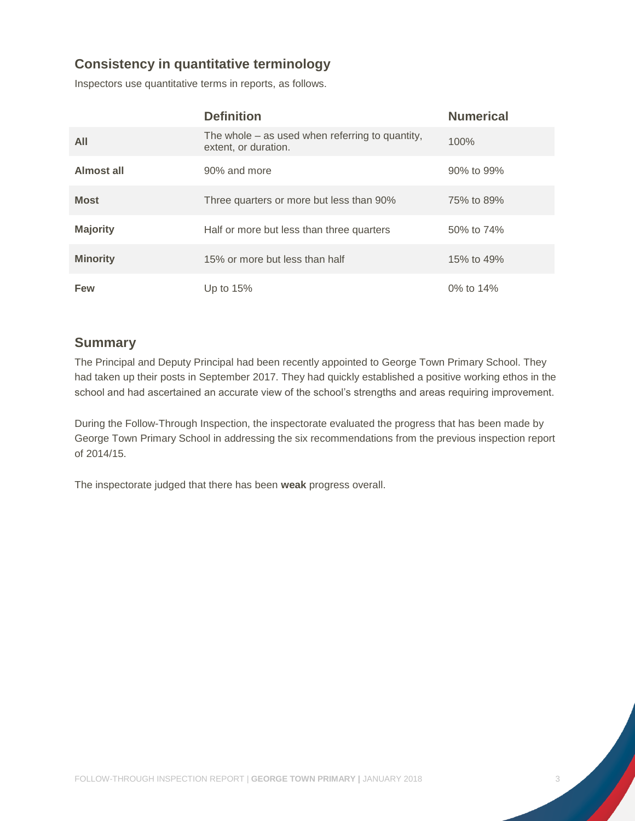# **Consistency in quantitative terminology**

Inspectors use quantitative terms in reports, as follows.

|                 | <b>Definition</b>                                                         | <b>Numerical</b> |
|-----------------|---------------------------------------------------------------------------|------------------|
| All             | The whole $-$ as used when referring to quantity,<br>extent, or duration. | 100%             |
| Almost all      | 90% and more                                                              | 90% to 99%       |
| <b>Most</b>     | Three quarters or more but less than 90%                                  | 75% to 89%       |
| <b>Majority</b> | Half or more but less than three quarters                                 | 50% to 74%       |
| <b>Minority</b> | 15% or more but less than half                                            | 15% to 49%       |
| <b>Few</b>      | Up to $15%$                                                               | 0% to 14%        |

#### **Summary**

The Principal and Deputy Principal had been recently appointed to George Town Primary School. They had taken up their posts in September 2017. They had quickly established a positive working ethos in the school and had ascertained an accurate view of the school's strengths and areas requiring improvement.

During the Follow-Through Inspection, the inspectorate evaluated the progress that has been made by George Town Primary School in addressing the six recommendations from the previous inspection report of 2014/15.

The inspectorate judged that there has been **weak** progress overall.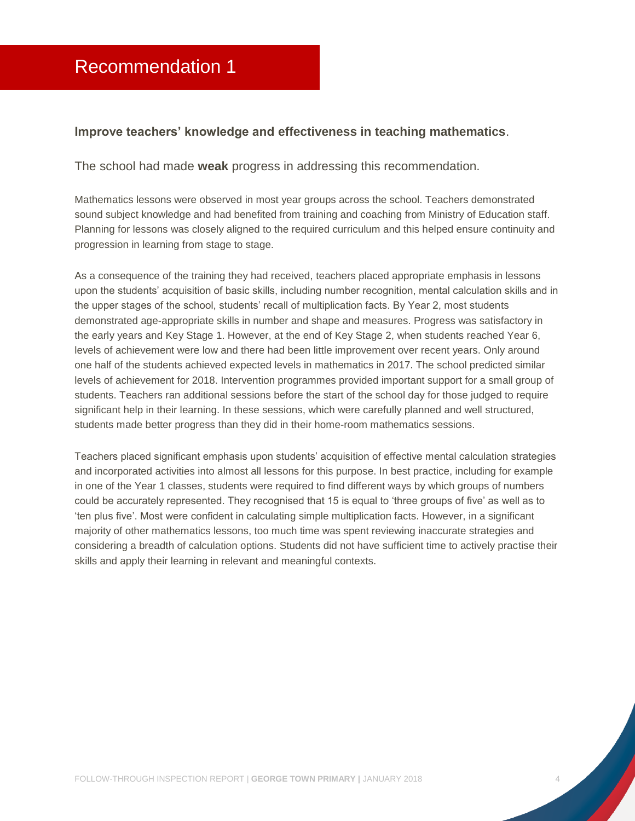#### <span id="page-4-0"></span>**Improve teachers' knowledge and effectiveness in teaching mathematics**.

The school had made **weak** progress in addressing this recommendation.

Mathematics lessons were observed in most year groups across the school. Teachers demonstrated sound subject knowledge and had benefited from training and coaching from Ministry of Education staff. Planning for lessons was closely aligned to the required curriculum and this helped ensure continuity and progression in learning from stage to stage.

As a consequence of the training they had received, teachers placed appropriate emphasis in lessons upon the students' acquisition of basic skills, including number recognition, mental calculation skills and in the upper stages of the school, students' recall of multiplication facts. By Year 2, most students demonstrated age-appropriate skills in number and shape and measures. Progress was satisfactory in the early years and Key Stage 1. However, at the end of Key Stage 2, when students reached Year 6, levels of achievement were low and there had been little improvement over recent years. Only around one half of the students achieved expected levels in mathematics in 2017. The school predicted similar levels of achievement for 2018. Intervention programmes provided important support for a small group of students. Teachers ran additional sessions before the start of the school day for those judged to require significant help in their learning. In these sessions, which were carefully planned and well structured, students made better progress than they did in their home-room mathematics sessions.

Teachers placed significant emphasis upon students' acquisition of effective mental calculation strategies and incorporated activities into almost all lessons for this purpose. In best practice, including for example in one of the Year 1 classes, students were required to find different ways by which groups of numbers could be accurately represented. They recognised that 15 is equal to 'three groups of five' as well as to 'ten plus five'. Most were confident in calculating simple multiplication facts. However, in a significant majority of other mathematics lessons, too much time was spent reviewing inaccurate strategies and considering a breadth of calculation options. Students did not have sufficient time to actively practise their skills and apply their learning in relevant and meaningful contexts.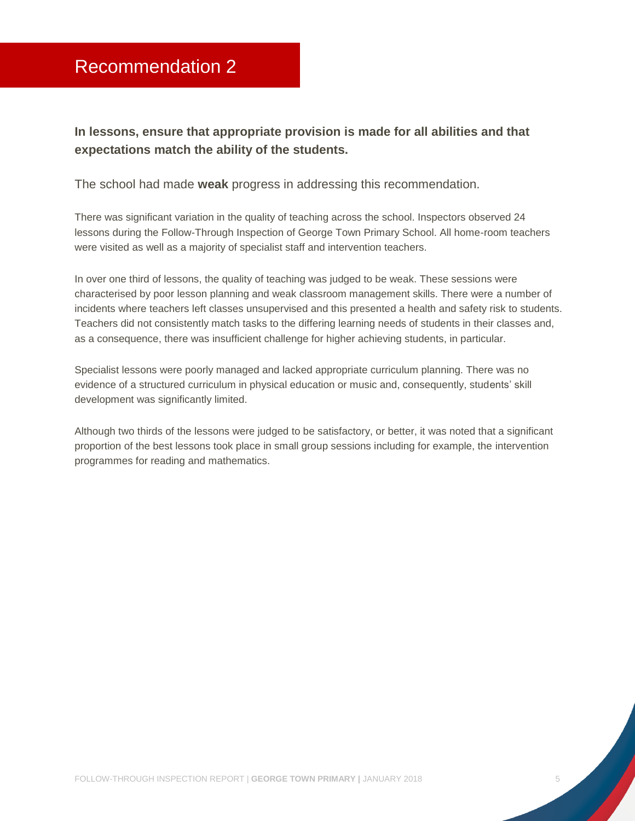# <span id="page-5-0"></span>Recommendation 2

**In lessons, ensure that appropriate provision is made for all abilities and that expectations match the ability of the students.**

The school had made **weak** progress in addressing this recommendation.

There was significant variation in the quality of teaching across the school. Inspectors observed 24 lessons during the Follow-Through Inspection of George Town Primary School. All home-room teachers were visited as well as a majority of specialist staff and intervention teachers.

In over one third of lessons, the quality of teaching was judged to be weak. These sessions were characterised by poor lesson planning and weak classroom management skills. There were a number of incidents where teachers left classes unsupervised and this presented a health and safety risk to students. Teachers did not consistently match tasks to the differing learning needs of students in their classes and, as a consequence, there was insufficient challenge for higher achieving students, in particular.

Specialist lessons were poorly managed and lacked appropriate curriculum planning. There was no evidence of a structured curriculum in physical education or music and, consequently, students' skill development was significantly limited.

Although two thirds of the lessons were judged to be satisfactory, or better, it was noted that a significant proportion of the best lessons took place in small group sessions including for example, the intervention programmes for reading and mathematics.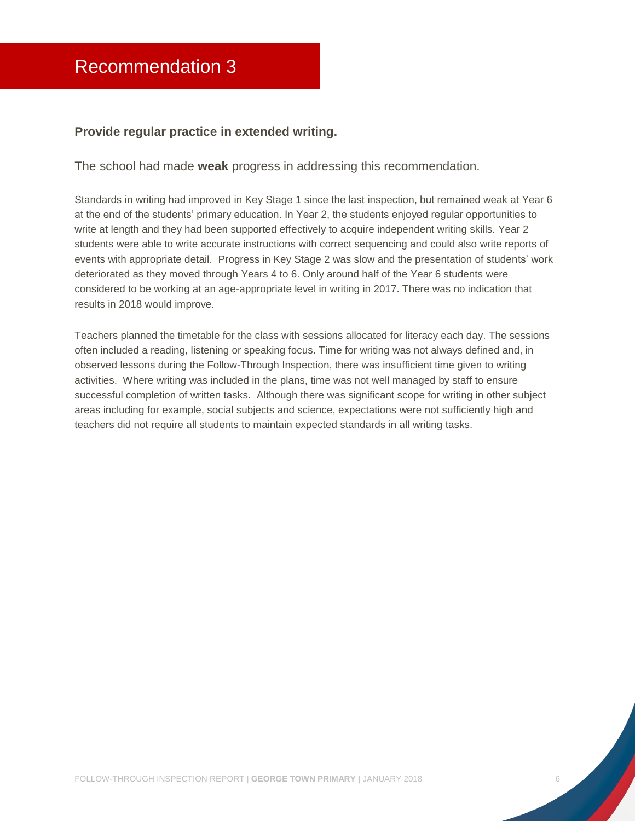#### <span id="page-6-0"></span>**Provide regular practice in extended writing.**

The school had made **weak** progress in addressing this recommendation.

Standards in writing had improved in Key Stage 1 since the last inspection, but remained weak at Year 6 at the end of the students' primary education. In Year 2, the students enjoyed regular opportunities to write at length and they had been supported effectively to acquire independent writing skills. Year 2 students were able to write accurate instructions with correct sequencing and could also write reports of events with appropriate detail. Progress in Key Stage 2 was slow and the presentation of students' work deteriorated as they moved through Years 4 to 6. Only around half of the Year 6 students were considered to be working at an age-appropriate level in writing in 2017. There was no indication that results in 2018 would improve.

Teachers planned the timetable for the class with sessions allocated for literacy each day. The sessions often included a reading, listening or speaking focus. Time for writing was not always defined and, in observed lessons during the Follow-Through Inspection, there was insufficient time given to writing activities. Where writing was included in the plans, time was not well managed by staff to ensure successful completion of written tasks. Although there was significant scope for writing in other subject areas including for example, social subjects and science, expectations were not sufficiently high and teachers did not require all students to maintain expected standards in all writing tasks.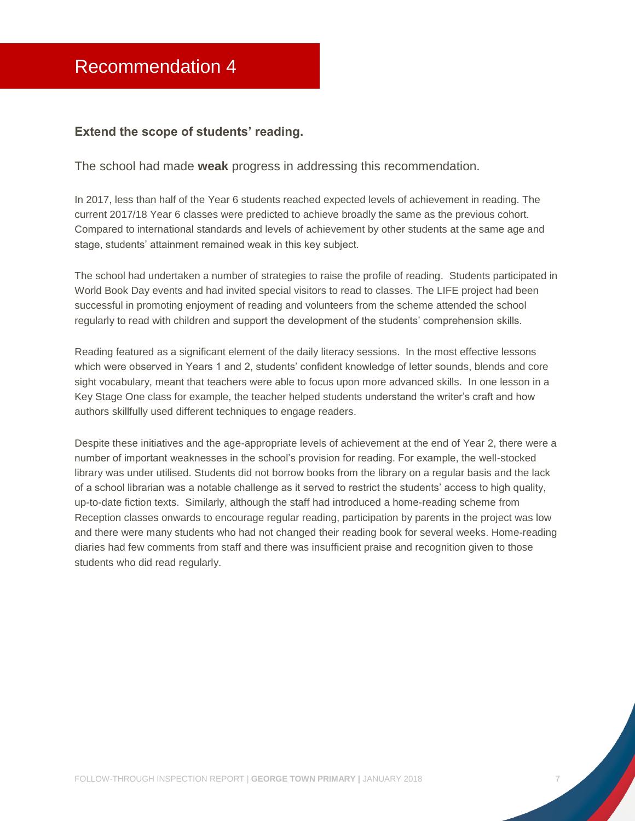#### <span id="page-7-0"></span>**Extend the scope of students' reading.**

The school had made **weak** progress in addressing this recommendation.

In 2017, less than half of the Year 6 students reached expected levels of achievement in reading. The current 2017/18 Year 6 classes were predicted to achieve broadly the same as the previous cohort. Compared to international standards and levels of achievement by other students at the same age and stage, students' attainment remained weak in this key subject.

The school had undertaken a number of strategies to raise the profile of reading. Students participated in World Book Day events and had invited special visitors to read to classes. The LIFE project had been successful in promoting enjoyment of reading and volunteers from the scheme attended the school regularly to read with children and support the development of the students' comprehension skills.

Reading featured as a significant element of the daily literacy sessions. In the most effective lessons which were observed in Years 1 and 2, students' confident knowledge of letter sounds, blends and core sight vocabulary, meant that teachers were able to focus upon more advanced skills. In one lesson in a Key Stage One class for example, the teacher helped students understand the writer's craft and how authors skillfully used different techniques to engage readers.

Despite these initiatives and the age-appropriate levels of achievement at the end of Year 2, there were a number of important weaknesses in the school's provision for reading. For example, the well-stocked library was under utilised. Students did not borrow books from the library on a regular basis and the lack of a school librarian was a notable challenge as it served to restrict the students' access to high quality, up-to-date fiction texts. Similarly, although the staff had introduced a home-reading scheme from Reception classes onwards to encourage regular reading, participation by parents in the project was low and there were many students who had not changed their reading book for several weeks. Home-reading diaries had few comments from staff and there was insufficient praise and recognition given to those students who did read regularly.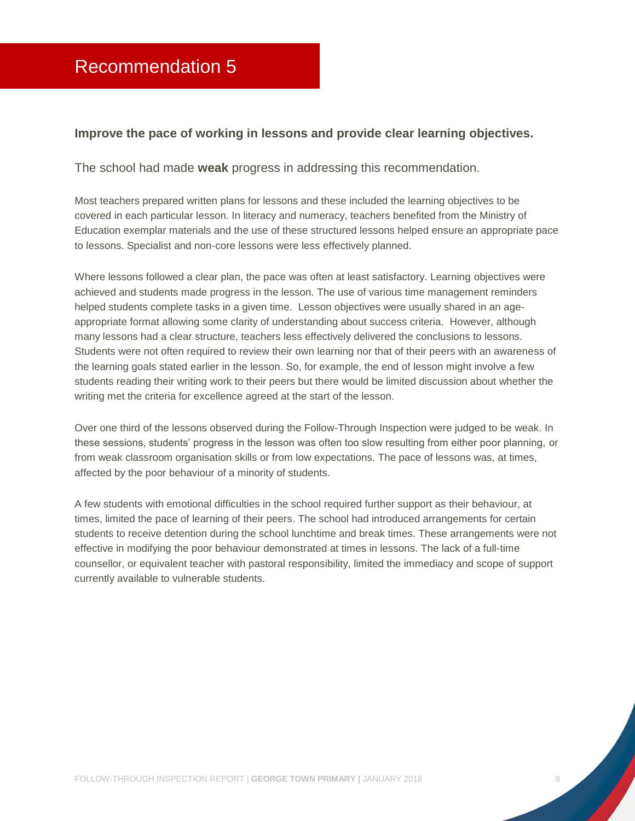#### <span id="page-8-0"></span>**Improve the pace of working in lessons and provide clear learning objectives.**

The school had made **weak** progress in addressing this recommendation.

Most teachers prepared written plans for lessons and these included the learning objectives to be covered in each particular lesson. In literacy and numeracy, teachers benefited from the Ministry of Education exemplar materials and the use of these structured lessons helped ensure an appropriate pace to lessons. Specialist and non-core lessons were less effectively planned.

Where lessons followed a clear plan, the pace was often at least satisfactory. Learning objectives were achieved and students made progress in the lesson. The use of various time management reminders helped students complete tasks in a given time. Lesson objectives were usually shared in an ageappropriate format allowing some clarity of understanding about success criteria. However, although many lessons had a clear structure, teachers less effectively delivered the conclusions to lessons. Students were not often required to review their own learning nor that of their peers with an awareness of the learning goals stated earlier in the lesson. So, for example, the end of lesson might involve a few students reading their writing work to their peers but there would be limited discussion about whether the writing met the criteria for excellence agreed at the start of the lesson.

Over one third of the lessons observed during the Follow-Through Inspection were judged to be weak. In these sessions, students' progress in the lesson was often too slow resulting from either poor planning, or from weak classroom organisation skills or from low expectations. The pace of lessons was, at times, affected by the poor behaviour of a minority of students.

A few students with emotional difficulties in the school required further support as their behaviour, at times, limited the pace of learning of their peers. The school had introduced arrangements for certain students to receive detention during the school lunchtime and break times. These arrangements were not effective in modifying the poor behaviour demonstrated at times in lessons. The lack of a full-time counsellor, or equivalent teacher with pastoral responsibility, limited the immediacy and scope of support currently available to vulnerable students.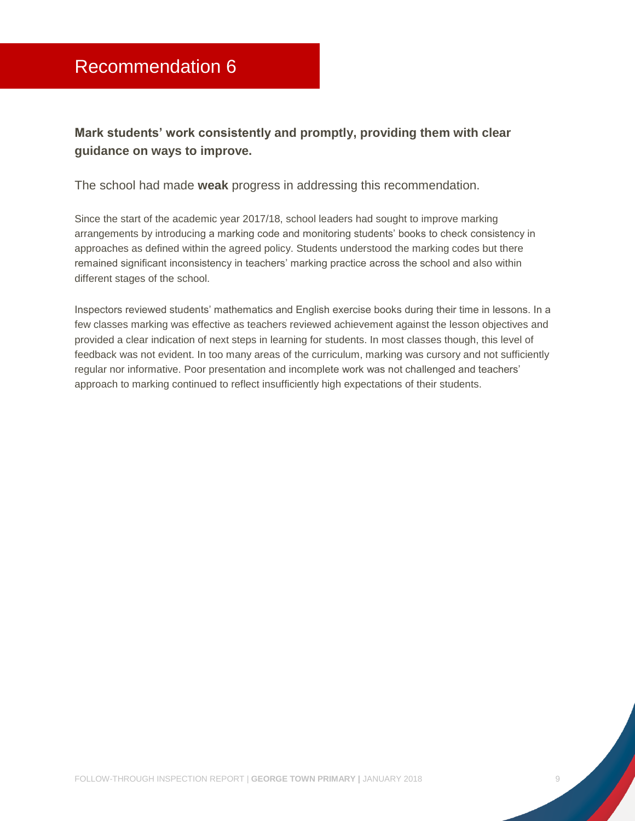# <span id="page-9-0"></span>**Mark students' work consistently and promptly, providing them with clear guidance on ways to improve.**

The school had made **weak** progress in addressing this recommendation.

Since the start of the academic year 2017/18, school leaders had sought to improve marking arrangements by introducing a marking code and monitoring students' books to check consistency in approaches as defined within the agreed policy. Students understood the marking codes but there remained significant inconsistency in teachers' marking practice across the school and also within different stages of the school.

Inspectors reviewed students' mathematics and English exercise books during their time in lessons. In a few classes marking was effective as teachers reviewed achievement against the lesson objectives and provided a clear indication of next steps in learning for students. In most classes though, this level of feedback was not evident. In too many areas of the curriculum, marking was cursory and not sufficiently regular nor informative. Poor presentation and incomplete work was not challenged and teachers' approach to marking continued to reflect insufficiently high expectations of their students.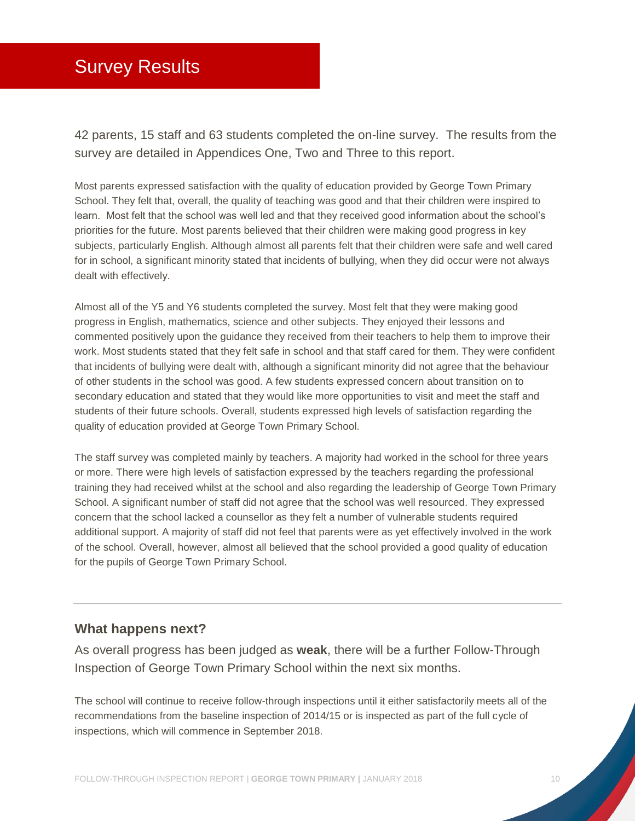# <span id="page-10-0"></span>Survey Results

42 parents, 15 staff and 63 students completed the on-line survey. The results from the survey are detailed in Appendices One, Two and Three to this report.

Most parents expressed satisfaction with the quality of education provided by George Town Primary School. They felt that, overall, the quality of teaching was good and that their children were inspired to learn. Most felt that the school was well led and that they received good information about the school's priorities for the future. Most parents believed that their children were making good progress in key subjects, particularly English. Although almost all parents felt that their children were safe and well cared for in school, a significant minority stated that incidents of bullying, when they did occur were not always dealt with effectively.

Almost all of the Y5 and Y6 students completed the survey. Most felt that they were making good progress in English, mathematics, science and other subjects. They enjoyed their lessons and commented positively upon the guidance they received from their teachers to help them to improve their work. Most students stated that they felt safe in school and that staff cared for them. They were confident that incidents of bullying were dealt with, although a significant minority did not agree that the behaviour of other students in the school was good. A few students expressed concern about transition on to secondary education and stated that they would like more opportunities to visit and meet the staff and students of their future schools. Overall, students expressed high levels of satisfaction regarding the quality of education provided at George Town Primary School.

The staff survey was completed mainly by teachers. A majority had worked in the school for three years or more. There were high levels of satisfaction expressed by the teachers regarding the professional training they had received whilst at the school and also regarding the leadership of George Town Primary School. A significant number of staff did not agree that the school was well resourced. They expressed concern that the school lacked a counsellor as they felt a number of vulnerable students required additional support. A majority of staff did not feel that parents were as yet effectively involved in the work of the school. Overall, however, almost all believed that the school provided a good quality of education for the pupils of George Town Primary School.

#### **What happens next?**

As overall progress has been judged as **weak**, there will be a further Follow-Through Inspection of George Town Primary School within the next six months.

The school will continue to receive follow-through inspections until it either satisfactorily meets all of the recommendations from the baseline inspection of 2014/15 or is inspected as part of the full cycle of inspections, which will commence in September 2018.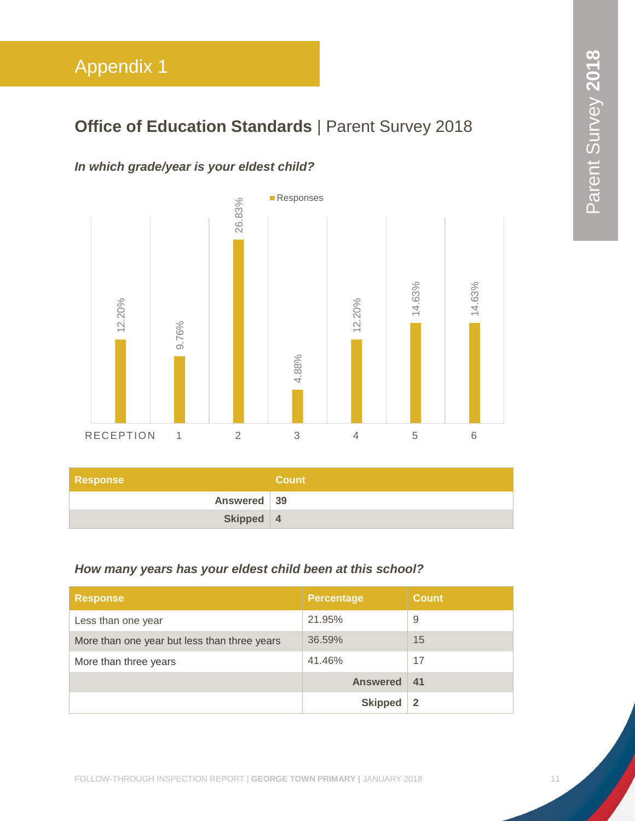# <span id="page-11-0"></span>**Office of Education Standards | Parent Survey 2018**

# *In which grade/year is your eldest child?*



| Response    | <b>Count</b> |
|-------------|--------------|
| Answered 39 |              |
| Skipped 4   |              |

# *How many years has your eldest child been at this school?*

| <b>Response</b>                              | <b>Percentage</b> | <b>Count</b> |
|----------------------------------------------|-------------------|--------------|
| Less than one year                           | 21.95%            | 9            |
| More than one year but less than three years | 36.59%            | 15           |
| More than three years                        | 41.46%            | 17           |
|                                              | <b>Answered</b>   | -41          |
|                                              | <b>Skipped</b>    |              |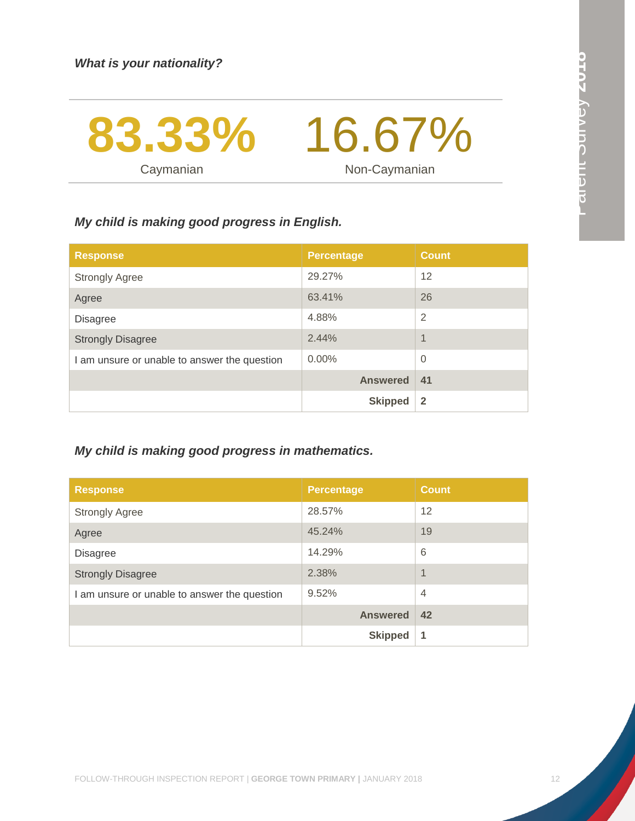Caymanian



Non-Caymanian

# *My child is making good progress in English.*

| <b>Response</b>                              | <b>Percentage</b> | <b>Count</b>   |
|----------------------------------------------|-------------------|----------------|
| <b>Strongly Agree</b>                        | 29.27%            | 12             |
| Agree                                        | 63.41%            | 26             |
| <b>Disagree</b>                              | 4.88%             | 2              |
| <b>Strongly Disagree</b>                     | 2.44%             | 1              |
| I am unsure or unable to answer the question | $0.00\%$          | $\Omega$       |
|                                              | <b>Answered</b>   | 41             |
|                                              | <b>Skipped</b>    | $\overline{2}$ |

# *My child is making good progress in mathematics.*

| <b>Response</b>                              | <b>Percentage</b> | <b>Count</b>   |
|----------------------------------------------|-------------------|----------------|
| <b>Strongly Agree</b>                        | 28.57%            | 12             |
| Agree                                        | 45.24%            | 19             |
| <b>Disagree</b>                              | 14.29%            | 6              |
| <b>Strongly Disagree</b>                     | 2.38%             | $\overline{1}$ |
| I am unsure or unable to answer the question | 9.52%             | $\overline{4}$ |
|                                              | <b>Answered</b>   | 42             |
|                                              | <b>Skipped</b>    | 1              |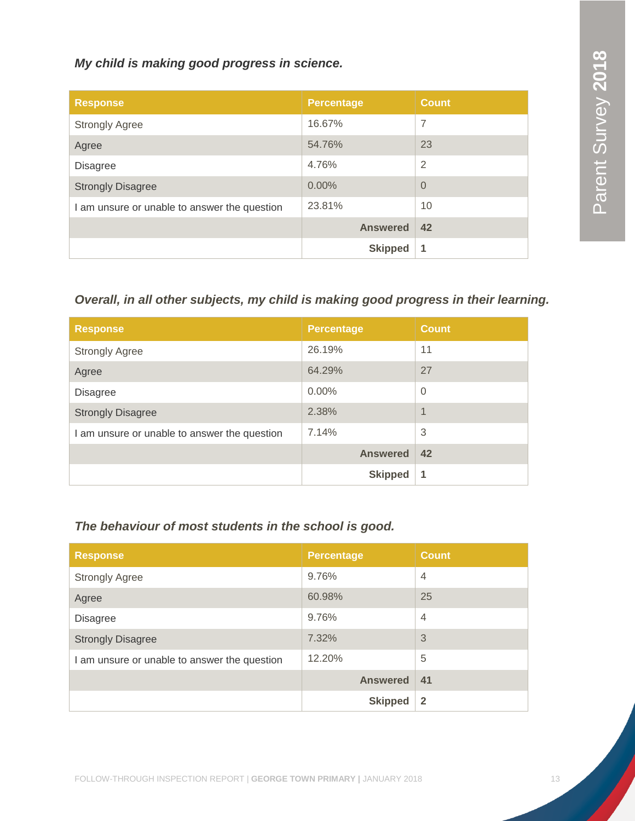*My child is making good progress in science.*

| <b>Response</b>                              | <b>Percentage</b> | <b>Count</b>   |
|----------------------------------------------|-------------------|----------------|
| <b>Strongly Agree</b>                        | 16.67%            | $\overline{7}$ |
| Agree                                        | 54.76%            | 23             |
| <b>Disagree</b>                              | 4.76%             | $\overline{2}$ |
| <b>Strongly Disagree</b>                     | $0.00\%$          | $\overline{0}$ |
| I am unsure or unable to answer the question | 23.81%            | 10             |
|                                              | <b>Answered</b>   | 42             |
|                                              | <b>Skipped</b>    | 1              |

# *Overall, in all other subjects, my child is making good progress in their learning.*

| <b>Response</b>                              | <b>Percentage</b> | <b>Count</b>     |
|----------------------------------------------|-------------------|------------------|
| <b>Strongly Agree</b>                        | 26.19%            | 11               |
| Agree                                        | 64.29%            | 27               |
| <b>Disagree</b>                              | $0.00\%$          | $\overline{0}$   |
| <b>Strongly Disagree</b>                     | 2.38%             | $\boldsymbol{A}$ |
| I am unsure or unable to answer the question | 7.14%             | 3                |
|                                              | <b>Answered</b>   | 42               |
|                                              | <b>Skipped</b>    | 1                |

# *The behaviour of most students in the school is good.*

| <b>Response</b>                              | <b>Percentage</b> | <b>Count</b>   |
|----------------------------------------------|-------------------|----------------|
| <b>Strongly Agree</b>                        | 9.76%             | $\overline{4}$ |
| Agree                                        | 60.98%            | 25             |
| <b>Disagree</b>                              | 9.76%             | $\overline{4}$ |
| <b>Strongly Disagree</b>                     | 7.32%             | 3              |
| I am unsure or unable to answer the question | 12.20%            | 5              |
|                                              | <b>Answered</b>   | 41             |
|                                              | <b>Skipped</b>    | $\overline{2}$ |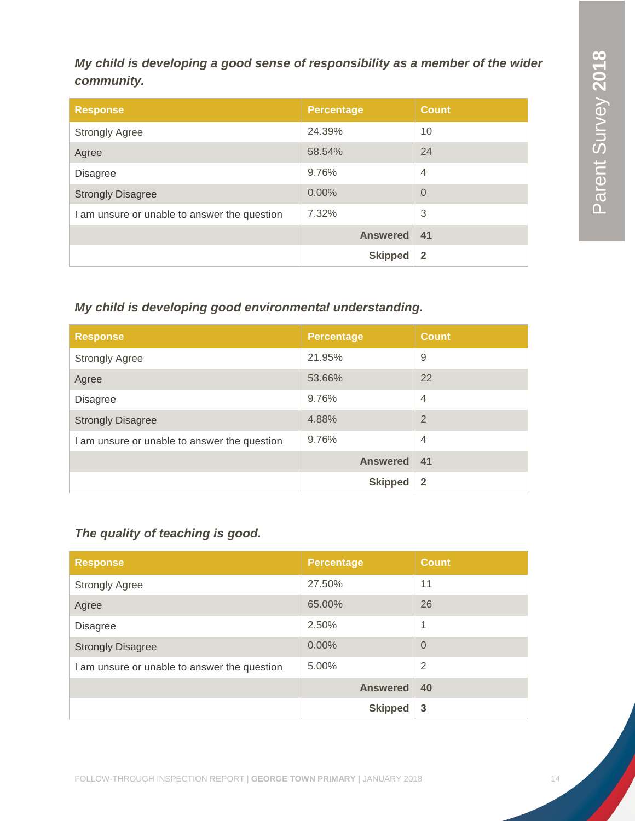# *My child is developing a good sense of responsibility as a member of the wider community.*

| <b>Response</b>                              | <b>Percentage</b> | <b>Count</b>   |
|----------------------------------------------|-------------------|----------------|
| <b>Strongly Agree</b>                        | 24.39%            | 10             |
| Agree                                        | 58.54%            | 24             |
| <b>Disagree</b>                              | 9.76%             | $\overline{4}$ |
| <b>Strongly Disagree</b>                     | 0.00%             | $\Omega$       |
| I am unsure or unable to answer the question | 7.32%             | 3              |
|                                              | <b>Answered</b>   | 41             |
|                                              | <b>Skipped</b>    | $\mathbf{2}$   |

# *My child is developing good environmental understanding.*

| <b>Response</b>                              | <b>Percentage</b> | <b>Count</b>   |
|----------------------------------------------|-------------------|----------------|
| <b>Strongly Agree</b>                        | 21.95%            | 9              |
| Agree                                        | 53.66%            | 22             |
| <b>Disagree</b>                              | 9.76%             | $\overline{4}$ |
| <b>Strongly Disagree</b>                     | 4.88%             | $\overline{2}$ |
| I am unsure or unable to answer the question | 9.76%             | $\overline{4}$ |
|                                              | <b>Answered</b>   | 41             |
|                                              | <b>Skipped</b>    | $\overline{2}$ |

# *The quality of teaching is good.*

| <b>Response</b>                              | <b>Percentage</b> | <b>Count</b>   |
|----------------------------------------------|-------------------|----------------|
| <b>Strongly Agree</b>                        | 27.50%            | 11             |
| Agree                                        | 65.00%            | 26             |
| <b>Disagree</b>                              | 2.50%             | 1              |
| <b>Strongly Disagree</b>                     | 0.00%             | $\overline{0}$ |
| I am unsure or unable to answer the question | $5.00\%$          | 2              |
|                                              | <b>Answered</b>   | 40             |
|                                              | <b>Skipped</b>    | 3              |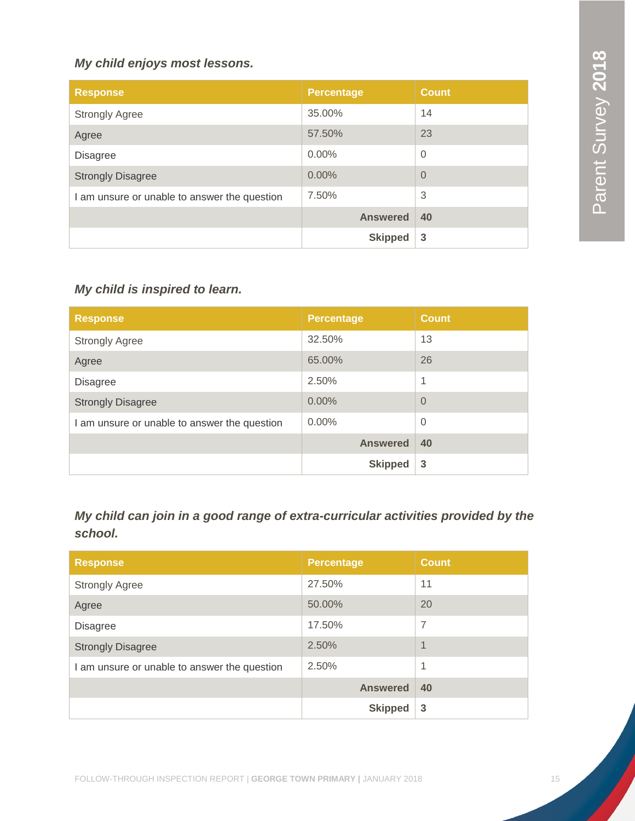# *My child enjoys most lessons.*

| <b>Response</b>                              | <b>Percentage</b> | <b>Count</b>   |
|----------------------------------------------|-------------------|----------------|
| <b>Strongly Agree</b>                        | 35.00%            | 14             |
| Agree                                        | 57.50%            | 23             |
| <b>Disagree</b>                              | $0.00\%$          | $\overline{0}$ |
| <b>Strongly Disagree</b>                     | 0.00%             | $\overline{0}$ |
| I am unsure or unable to answer the question | 7.50%             | 3              |
|                                              | <b>Answered</b>   | 40             |
|                                              | <b>Skipped</b>    | 3              |

# *My child is inspired to learn.*

| <b>Response</b>                              | <b>Percentage</b> | <b>Count</b>   |
|----------------------------------------------|-------------------|----------------|
| <b>Strongly Agree</b>                        | 32.50%            | 13             |
| Agree                                        | 65.00%            | 26             |
| <b>Disagree</b>                              | 2.50%             | 1              |
| <b>Strongly Disagree</b>                     | 0.00%             | $\Omega$       |
| I am unsure or unable to answer the question | $0.00\%$          | $\overline{0}$ |
|                                              | <b>Answered</b>   | 40             |
|                                              | <b>Skipped</b>    | 3              |

*My child can join in a good range of extra-curricular activities provided by the school.*

| <b>Response</b>                              | <b>Percentage</b> | <b>Count</b>   |
|----------------------------------------------|-------------------|----------------|
| <b>Strongly Agree</b>                        | 27.50%            | 11             |
| Agree                                        | 50.00%            | 20             |
| <b>Disagree</b>                              | 17.50%            | $\overline{7}$ |
| <b>Strongly Disagree</b>                     | 2.50%             | $\overline{A}$ |
| I am unsure or unable to answer the question | 2.50%             | 1              |
|                                              | <b>Answered</b>   | 40             |
|                                              | <b>Skipped</b>    | 3              |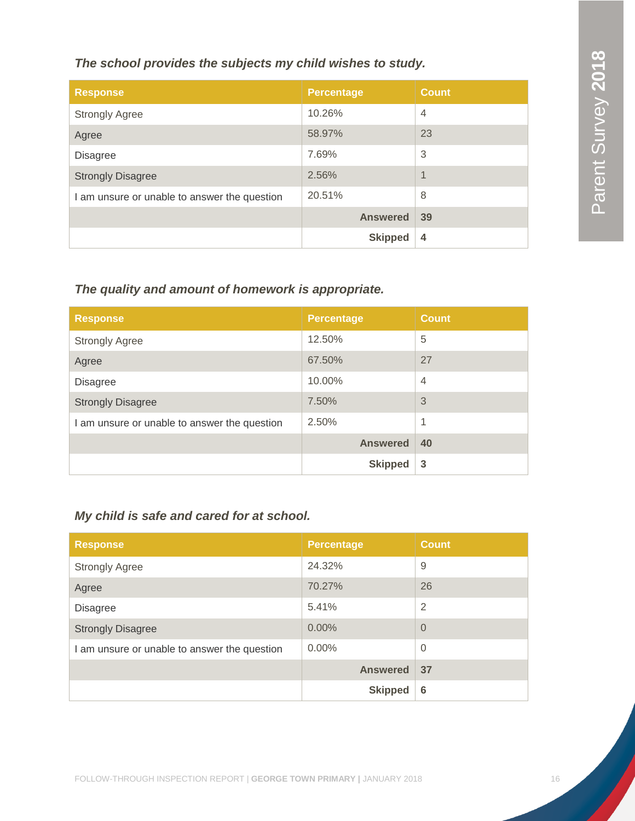# *The school provides the subjects my child wishes to study.*

| <b>Response</b>                              | <b>Percentage</b> | <b>Count</b>   |
|----------------------------------------------|-------------------|----------------|
| <b>Strongly Agree</b>                        | 10.26%            | $\overline{4}$ |
| Agree                                        | 58.97%            | 23             |
| <b>Disagree</b>                              | 7.69%             | 3              |
| <b>Strongly Disagree</b>                     | 2.56%             | $\overline{A}$ |
| I am unsure or unable to answer the question | 20.51%            | 8              |
|                                              | <b>Answered</b>   | 39             |
|                                              | <b>Skipped</b>    | $\overline{4}$ |

# *The quality and amount of homework is appropriate.*

| <b>Response</b>                              | <b>Percentage</b> | <b>Count</b>   |
|----------------------------------------------|-------------------|----------------|
| <b>Strongly Agree</b>                        | 12.50%            | 5              |
| Agree                                        | 67.50%            | 27             |
| <b>Disagree</b>                              | 10.00%            | $\overline{4}$ |
| <b>Strongly Disagree</b>                     | 7.50%             | 3              |
| I am unsure or unable to answer the question | 2.50%             | 1              |
|                                              | <b>Answered</b>   | 40             |
|                                              | <b>Skipped</b>    | 3              |

# *My child is safe and cared for at school.*

| <b>Response</b>                              | <b>Percentage</b> | <b>Count</b>   |
|----------------------------------------------|-------------------|----------------|
| <b>Strongly Agree</b>                        | 24.32%            | 9              |
| Agree                                        | 70.27%            | 26             |
| <b>Disagree</b>                              | 5.41%             | $\overline{2}$ |
| <b>Strongly Disagree</b>                     | 0.00%             | $\Omega$       |
| I am unsure or unable to answer the question | $0.00\%$          | $\Omega$       |
|                                              | <b>Answered</b>   | 37             |
|                                              | <b>Skipped</b>    | 6              |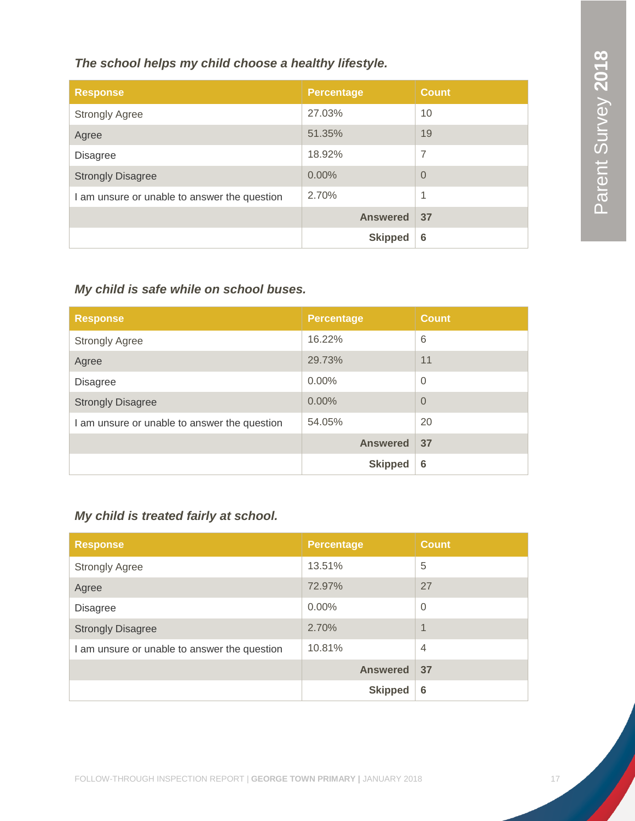# *The school helps my child choose a healthy lifestyle.*

| <b>Response</b>                              | <b>Percentage</b> | <b>Count</b> |
|----------------------------------------------|-------------------|--------------|
| <b>Strongly Agree</b>                        | 27.03%            | 10           |
| Agree                                        | 51.35%            | 19           |
| <b>Disagree</b>                              | 18.92%            | 7            |
| <b>Strongly Disagree</b>                     | 0.00%             | $\Omega$     |
| I am unsure or unable to answer the question | 2.70%             | 1            |
|                                              | <b>Answered</b>   | 37           |
|                                              | <b>Skipped</b>    | 6            |

# *My child is safe while on school buses.*

| <b>Response</b>                              | <b>Percentage</b> | <b>Count</b>   |
|----------------------------------------------|-------------------|----------------|
| <b>Strongly Agree</b>                        | 16.22%            | 6              |
| Agree                                        | 29.73%            | 11             |
| <b>Disagree</b>                              | $0.00\%$          | $\overline{0}$ |
| <b>Strongly Disagree</b>                     | 0.00%             | $\overline{0}$ |
| I am unsure or unable to answer the question | 54.05%            | 20             |
|                                              | <b>Answered</b>   | 37             |
|                                              | <b>Skipped</b>    | 6              |

# *My child is treated fairly at school.*

| <b>Response</b>                              | <b>Percentage</b> | <b>Count</b>   |
|----------------------------------------------|-------------------|----------------|
| <b>Strongly Agree</b>                        | 13.51%            | 5              |
| Agree                                        | 72.97%            | 27             |
| <b>Disagree</b>                              | $0.00\%$          | $\overline{0}$ |
| <b>Strongly Disagree</b>                     | 2.70%             | $\overline{1}$ |
| I am unsure or unable to answer the question | 10.81%            | $\overline{4}$ |
|                                              | <b>Answered</b>   | 37             |
|                                              | <b>Skipped</b>    | 6              |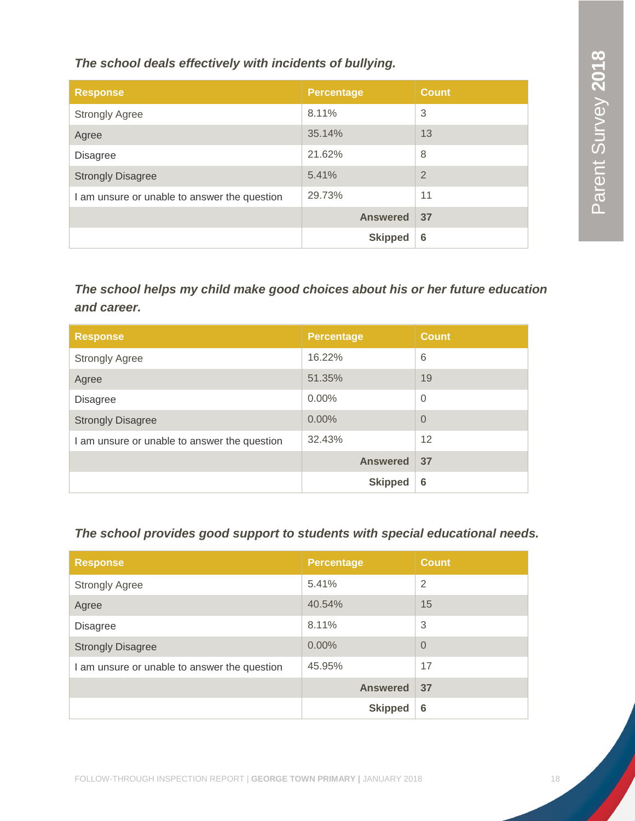*The school deals effectively with incidents of bullying.*

| <b>Response</b>                              | <b>Percentage</b> | <b>Count</b>   |
|----------------------------------------------|-------------------|----------------|
| <b>Strongly Agree</b>                        | 8.11%             | 3              |
| Agree                                        | 35.14%            | 13             |
| Disagree                                     | 21.62%            | 8              |
| <b>Strongly Disagree</b>                     | 5.41%             | $\overline{2}$ |
| I am unsure or unable to answer the question | 29.73%            | 11             |
|                                              | <b>Answered</b>   | 37             |
|                                              | <b>Skipped</b>    | 6              |

*The school helps my child make good choices about his or her future education and career.*

| <b>Response</b>                              | <b>Percentage</b> | <b>Count</b>   |
|----------------------------------------------|-------------------|----------------|
| <b>Strongly Agree</b>                        | 16.22%            | 6              |
| Agree                                        | 51.35%            | 19             |
| <b>Disagree</b>                              | $0.00\%$          | $\overline{0}$ |
| <b>Strongly Disagree</b>                     | 0.00%             | $\overline{0}$ |
| I am unsure or unable to answer the question | 32.43%            | 12             |
|                                              | <b>Answered</b>   | 37             |
|                                              | <b>Skipped</b>    | 6              |

*The school provides good support to students with special educational needs.*

| <b>Response</b>                              | <b>Percentage</b> | <b>Count</b>   |
|----------------------------------------------|-------------------|----------------|
| <b>Strongly Agree</b>                        | 5.41%             | $\overline{2}$ |
| Agree                                        | 40.54%            | 15             |
| <b>Disagree</b>                              | 8.11%             | 3              |
| <b>Strongly Disagree</b>                     | 0.00%             | $\overline{0}$ |
| I am unsure or unable to answer the question | 45.95%            | 17             |
|                                              | <b>Answered</b>   | 37             |
|                                              | <b>Skipped</b>    | 6              |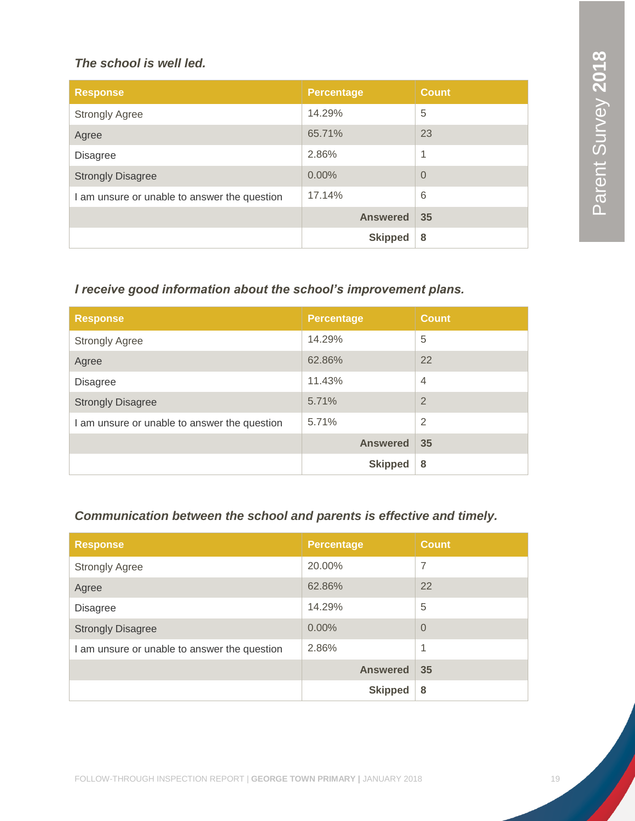### *The school is well led.*

| <b>Response</b>                              | <b>Percentage</b> | <b>Count</b>   |
|----------------------------------------------|-------------------|----------------|
| <b>Strongly Agree</b>                        | 14.29%            | 5              |
| Agree                                        | 65.71%            | 23             |
| <b>Disagree</b>                              | 2.86%             | 1              |
| <b>Strongly Disagree</b>                     | 0.00%             | $\overline{0}$ |
| I am unsure or unable to answer the question | 17.14%            | 6              |
|                                              | <b>Answered</b>   | 35             |
|                                              | <b>Skipped</b>    | 8              |

# *I receive good information about the school's improvement plans.*

| <b>Response</b>                              | <b>Percentage</b> | <b>Count</b>   |
|----------------------------------------------|-------------------|----------------|
| <b>Strongly Agree</b>                        | 14.29%            | 5              |
| Agree                                        | 62.86%            | 22             |
| <b>Disagree</b>                              | 11.43%            | $\overline{4}$ |
| <b>Strongly Disagree</b>                     | 5.71%             | $\overline{2}$ |
| I am unsure or unable to answer the question | 5.71%             | $\overline{2}$ |
|                                              | <b>Answered</b>   | 35             |
|                                              | <b>Skipped</b>    | 8              |

# *Communication between the school and parents is effective and timely.*

| <b>Response</b>                              | <b>Percentage</b> | <b>Count</b> |
|----------------------------------------------|-------------------|--------------|
| <b>Strongly Agree</b>                        | 20.00%            | 7            |
| Agree                                        | 62.86%            | 22           |
| <b>Disagree</b>                              | 14.29%            | 5            |
| <b>Strongly Disagree</b>                     | 0.00%             | $\Omega$     |
| I am unsure or unable to answer the question | 2.86%             | $\mathbf{1}$ |
|                                              | <b>Answered</b>   | 35           |
|                                              | <b>Skipped</b>    | 8            |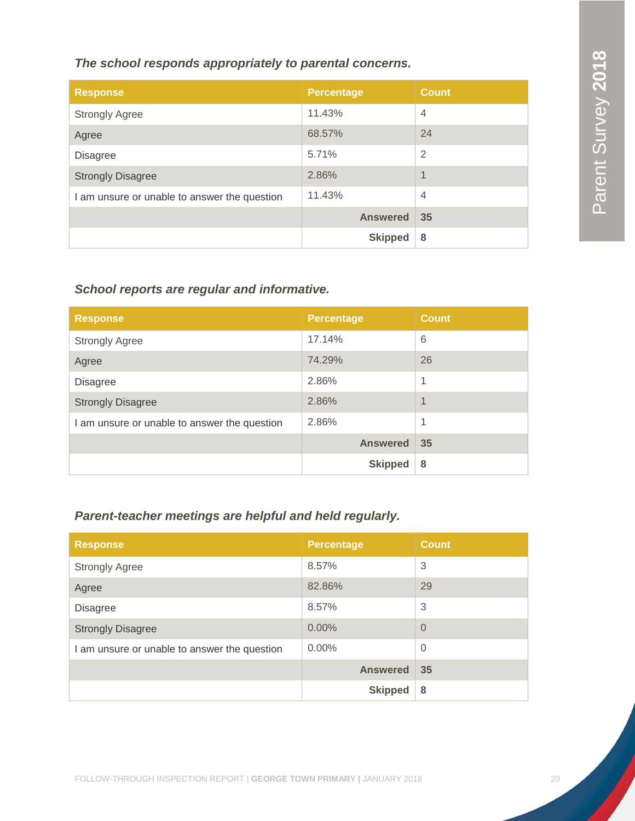# *The school responds appropriately to parental concerns.*

| <b>Response</b>                              | <b>Percentage</b> | <b>Count</b>             |
|----------------------------------------------|-------------------|--------------------------|
| <b>Strongly Agree</b>                        | 11.43%            | $\overline{4}$           |
| Agree                                        | 68.57%            | 24                       |
| <b>Disagree</b>                              | 5.71%             | $\overline{2}$           |
| <b>Strongly Disagree</b>                     | 2.86%             | $\overline{\mathcal{A}}$ |
| I am unsure or unable to answer the question | 11.43%            | $\overline{4}$           |
|                                              | <b>Answered</b>   | 35                       |
|                                              | <b>Skipped</b>    | 8                        |

# *School reports are regular and informative.*

| <b>Response</b>                              | <b>Percentage</b> | <b>Count</b>   |
|----------------------------------------------|-------------------|----------------|
| <b>Strongly Agree</b>                        | 17.14%            | 6              |
| Agree                                        | 74.29%            | 26             |
| <b>Disagree</b>                              | 2.86%             | 1              |
| <b>Strongly Disagree</b>                     | 2.86%             | $\overline{1}$ |
| I am unsure or unable to answer the question | 2.86%             | 1              |
|                                              | <b>Answered</b>   | 35             |
|                                              | <b>Skipped</b>    | 8              |

# *Parent-teacher meetings are helpful and held regularly.*

| <b>Response</b>                              | <b>Percentage</b> | <b>Count</b> |
|----------------------------------------------|-------------------|--------------|
| <b>Strongly Agree</b>                        | 8.57%             | 3            |
| Agree                                        | 82.86%            | 29           |
| <b>Disagree</b>                              | 8.57%             | 3            |
| <b>Strongly Disagree</b>                     | 0.00%             | $\Omega$     |
| I am unsure or unable to answer the question | $0.00\%$          | $\Omega$     |
|                                              | <b>Answered</b>   | 35           |
|                                              | <b>Skipped</b>    | 8            |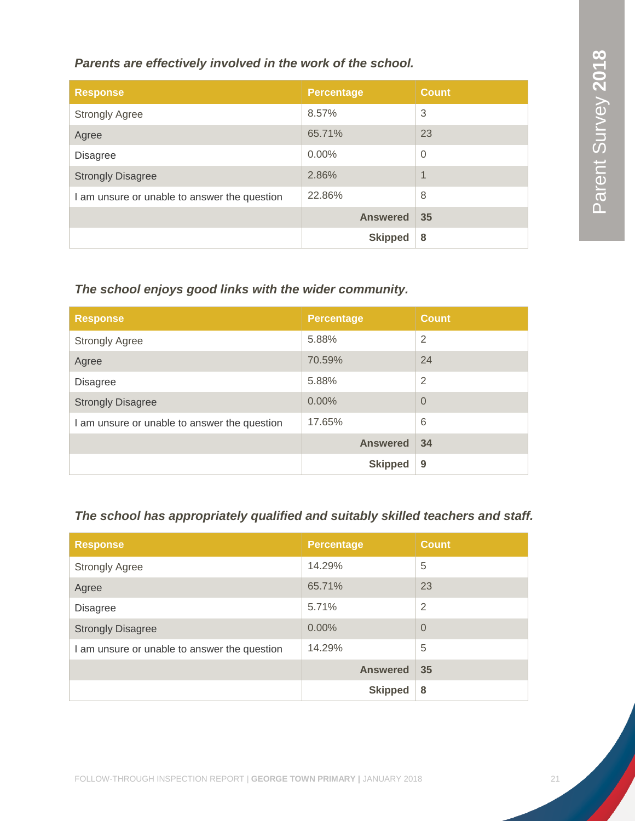# *Parents are effectively involved in the work of the school.*

| <b>Response</b>                              | <b>Percentage</b> | <b>Count</b>             |
|----------------------------------------------|-------------------|--------------------------|
| <b>Strongly Agree</b>                        | 8.57%             | 3                        |
| Agree                                        | 65.71%            | 23                       |
| <b>Disagree</b>                              | $0.00\%$          | $\overline{0}$           |
| <b>Strongly Disagree</b>                     | 2.86%             | $\overline{\mathcal{A}}$ |
| I am unsure or unable to answer the question | 22.86%            | 8                        |
|                                              | <b>Answered</b>   | 35                       |
|                                              | <b>Skipped</b>    | 8                        |

# *The school enjoys good links with the wider community.*

| <b>Response</b>                              | <b>Percentage</b> | <b>Count</b>   |
|----------------------------------------------|-------------------|----------------|
| <b>Strongly Agree</b>                        | 5.88%             | $\overline{2}$ |
| Agree                                        | 70.59%            | 24             |
| <b>Disagree</b>                              | 5.88%             | 2              |
| <b>Strongly Disagree</b>                     | 0.00%             | $\Omega$       |
| I am unsure or unable to answer the question | 17.65%            | 6              |
|                                              | <b>Answered</b>   | 34             |
|                                              | <b>Skipped</b>    | 9              |

# *The school has appropriately qualified and suitably skilled teachers and staff.*

| <b>Response</b>                              | <b>Percentage</b> | <b>Count</b>   |
|----------------------------------------------|-------------------|----------------|
| <b>Strongly Agree</b>                        | 14.29%            | 5              |
| Agree                                        | 65.71%            | 23             |
| <b>Disagree</b>                              | 5.71%             | $\overline{2}$ |
| <b>Strongly Disagree</b>                     | 0.00%             | $\Omega$       |
| I am unsure or unable to answer the question | 14.29%            | 5              |
|                                              | <b>Answered</b>   | 35             |
|                                              | <b>Skipped</b>    | 8              |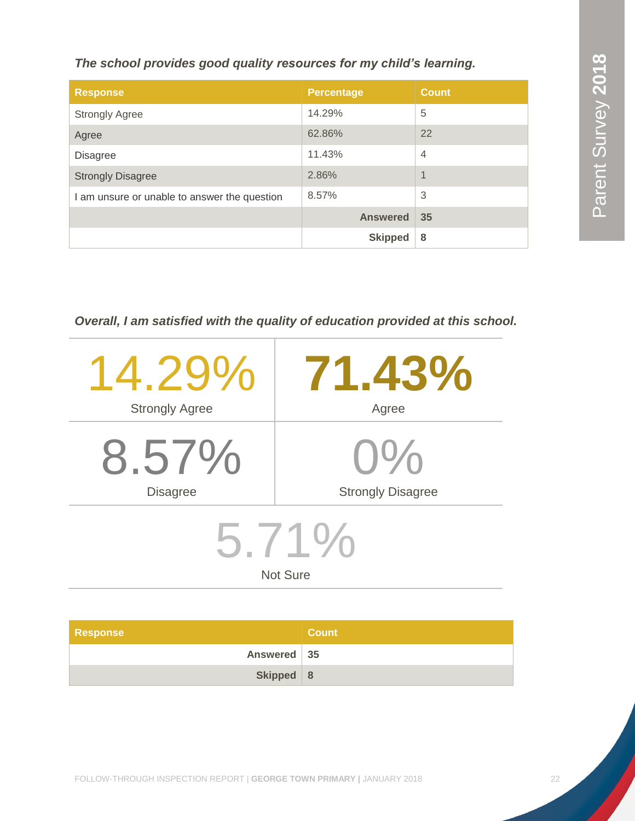*The school provides good quality resources for my child's learning.*

| <b>Response</b>                              | <b>Percentage</b> | <b>Count</b>   |
|----------------------------------------------|-------------------|----------------|
| <b>Strongly Agree</b>                        | 14.29%            | 5              |
| Agree                                        | 62.86%            | 22             |
| <b>Disagree</b>                              | 11.43%            | $\overline{4}$ |
| <b>Strongly Disagree</b>                     | 2.86%             | $\overline{1}$ |
| I am unsure or unable to answer the question | 8.57%             | 3              |
|                                              | <b>Answered</b>   | 35             |
|                                              | <b>Skipped</b>    | 8              |

*Overall, I am satisfied with the quality of education provided at this school.*

| $14.29\%$                | 71.43%                   |  |
|--------------------------|--------------------------|--|
| <b>Strongly Agree</b>    | Agree                    |  |
| 8.57%                    | $\mathcal{C}$            |  |
| <b>Disagree</b>          | <b>Strongly Disagree</b> |  |
| 5.71%<br><b>Not Sure</b> |                          |  |

| <b>Response</b> | <b>Count</b> |
|-----------------|--------------|
| Answered 35     |              |
| Skipped $ 8$    |              |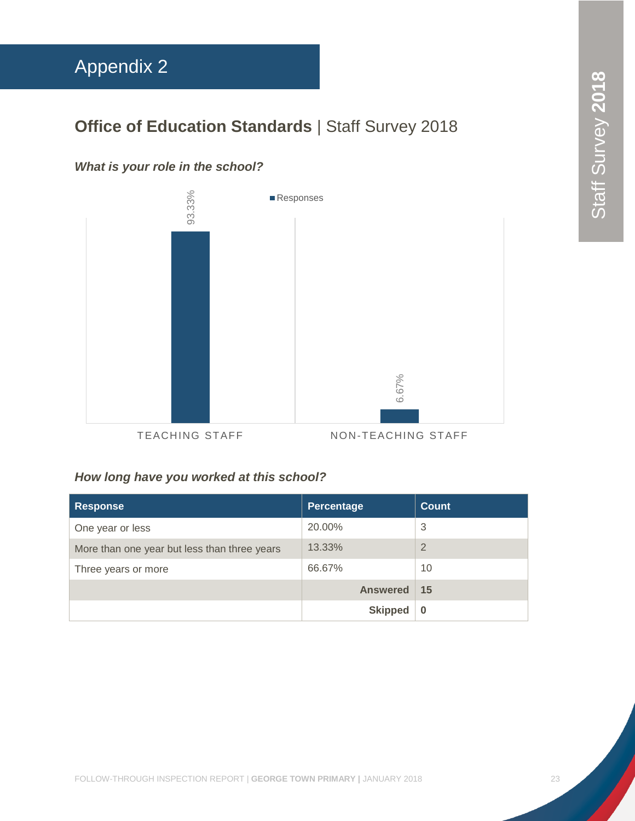# <span id="page-23-0"></span>Appendix 2

# **Office of Education Standards | Staff Survey 2018**

# *What is your role in the school?*



# *How long have you worked at this school?*

| <b>Response</b>                              | Percentage      | <b>Count</b>   |
|----------------------------------------------|-----------------|----------------|
| One year or less                             | 20.00%          | 3              |
| More than one year but less than three years | 13.33%          | $\overline{2}$ |
| Three years or more                          | 66.67%          | 10             |
|                                              | <b>Answered</b> | -15            |
|                                              | <b>Skipped</b>  | $\bf{0}$       |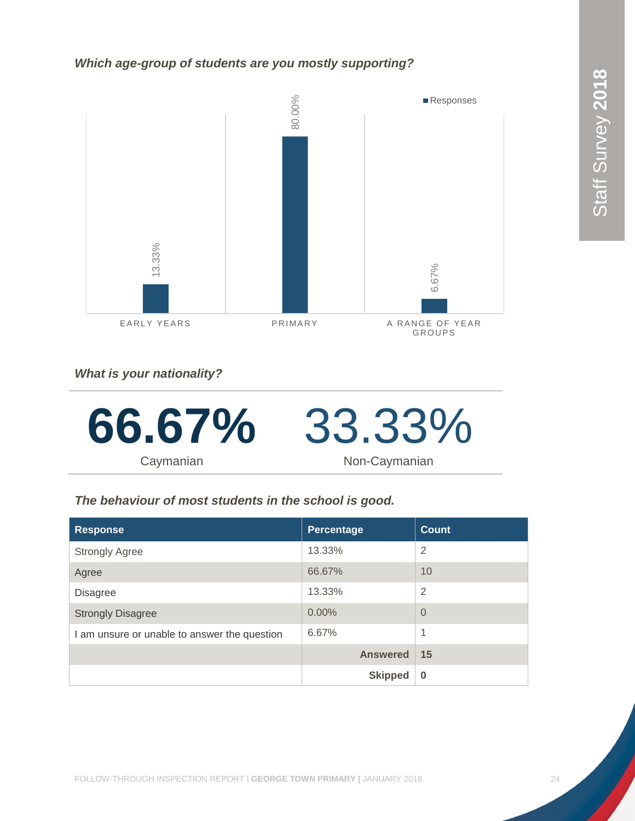#### *Which age-group of students are you mostly supporting?*



*What is your nationality?*



# *The behaviour of most students in the school is good.*

| <b>Response</b>                              | Percentage      | Count          |
|----------------------------------------------|-----------------|----------------|
| <b>Strongly Agree</b>                        | 13.33%          | $\overline{2}$ |
| Agree                                        | 66.67%          | 10             |
| <b>Disagree</b>                              | 13.33%          | $\overline{2}$ |
| <b>Strongly Disagree</b>                     | 0.00%           | $\Omega$       |
| I am unsure or unable to answer the question | 6.67%           | 1              |
|                                              | <b>Answered</b> | 15             |
|                                              | <b>Skipped</b>  | $\bf{0}$       |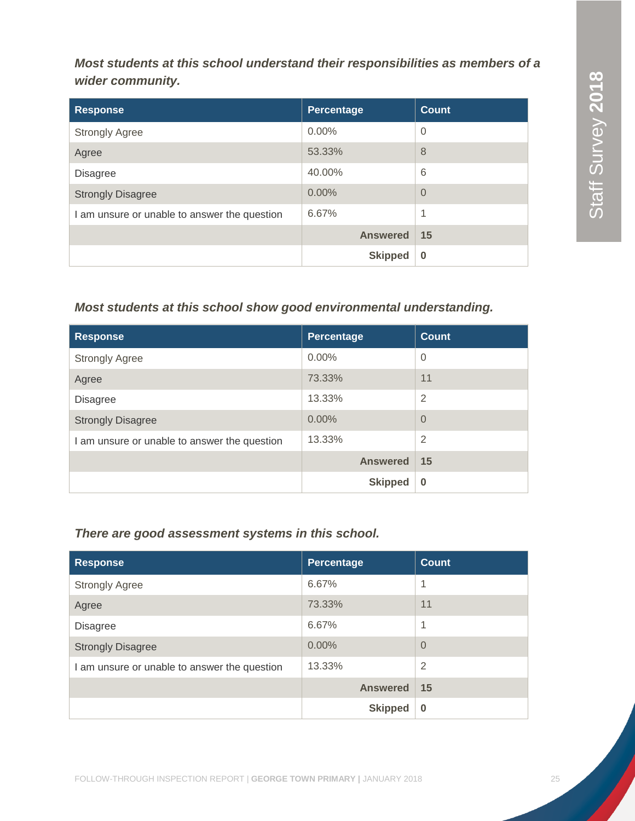*Most students at this school understand their responsibilities as members of a wider community.*

| <b>Response</b>                              | Percentage      | <b>Count</b>   |
|----------------------------------------------|-----------------|----------------|
| <b>Strongly Agree</b>                        | $0.00\%$        | $\overline{0}$ |
| Agree                                        | 53.33%          | 8              |
| <b>Disagree</b>                              | 40.00%          | 6              |
| <b>Strongly Disagree</b>                     | $0.00\%$        | $\overline{0}$ |
| I am unsure or unable to answer the question | 6.67%           | 1              |
|                                              | <b>Answered</b> | 15             |
|                                              | <b>Skipped</b>  | $\bf{0}$       |

# *Most students at this school show good environmental understanding.*

| <b>Response</b>                              | Percentage      | <b>Count</b>   |
|----------------------------------------------|-----------------|----------------|
| <b>Strongly Agree</b>                        | $0.00\%$        | $\overline{0}$ |
| Agree                                        | 73.33%          | 11             |
| <b>Disagree</b>                              | 13.33%          | $\overline{2}$ |
| <b>Strongly Disagree</b>                     | $0.00\%$        | $\overline{0}$ |
| I am unsure or unable to answer the question | 13.33%          | $\overline{2}$ |
|                                              | <b>Answered</b> | 15             |
|                                              | <b>Skipped</b>  | $\bf{0}$       |

# *There are good assessment systems in this school.*

| <b>Response</b>                              | Percentage      | Count          |
|----------------------------------------------|-----------------|----------------|
| <b>Strongly Agree</b>                        | 6.67%           | 1              |
| Agree                                        | 73.33%          | 11             |
| <b>Disagree</b>                              | 6.67%           | 1              |
| <b>Strongly Disagree</b>                     | $0.00\%$        | $\overline{0}$ |
| I am unsure or unable to answer the question | 13.33%          | $\overline{2}$ |
|                                              | <b>Answered</b> | 15             |
|                                              | <b>Skipped</b>  | $\bf{0}$       |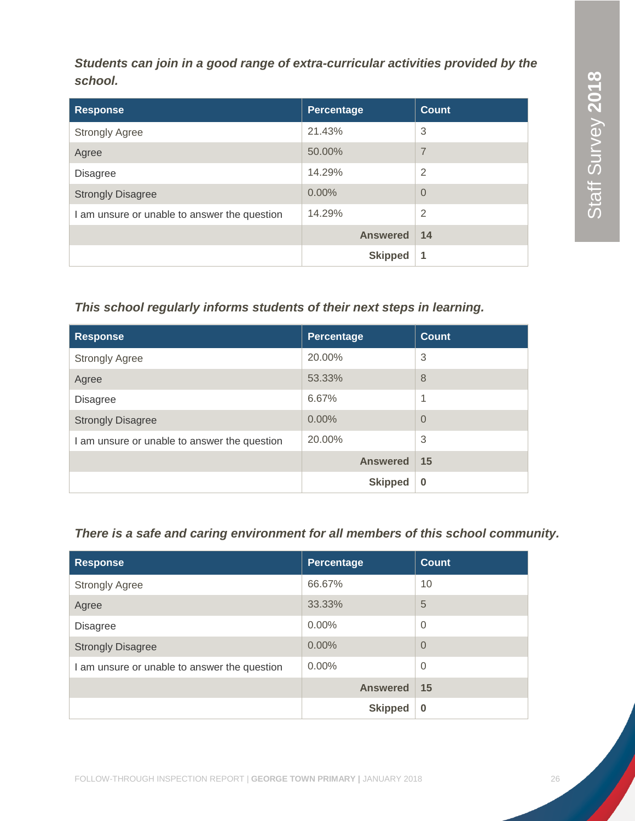*Students can join in a good range of extra-curricular activities provided by the school.*

| <b>Response</b>                              | Percentage      | <b>Count</b>   |
|----------------------------------------------|-----------------|----------------|
| <b>Strongly Agree</b>                        | 21.43%          | 3              |
| Agree                                        | 50.00%          | $\overline{7}$ |
| <b>Disagree</b>                              | 14.29%          | $\overline{2}$ |
| <b>Strongly Disagree</b>                     | 0.00%           | $\Omega$       |
| I am unsure or unable to answer the question | 14.29%          | $\overline{2}$ |
|                                              | <b>Answered</b> | 14             |
|                                              | <b>Skipped</b>  | 1              |

# *This school regularly informs students of their next steps in learning.*

| <b>Response</b>                              | Percentage      | <b>Count</b> |
|----------------------------------------------|-----------------|--------------|
| <b>Strongly Agree</b>                        | 20.00%          | 3            |
| Agree                                        | 53.33%          | 8            |
| <b>Disagree</b>                              | 6.67%           | 1            |
| <b>Strongly Disagree</b>                     | $0.00\%$        | $\Omega$     |
| I am unsure or unable to answer the question | 20.00%          | 3            |
|                                              | <b>Answered</b> | 15           |
|                                              | <b>Skipped</b>  | $\bf{0}$     |

# *There is a safe and caring environment for all members of this school community.*

| <b>Response</b>                              | <b>Percentage</b> | <b>Count</b>   |
|----------------------------------------------|-------------------|----------------|
| <b>Strongly Agree</b>                        | 66.67%            | 10             |
| Agree                                        | 33.33%            | 5              |
| <b>Disagree</b>                              | $0.00\%$          | $\mathbf 0$    |
| <b>Strongly Disagree</b>                     | $0.00\%$          | $\overline{0}$ |
| I am unsure or unable to answer the question | $0.00\%$          | $\overline{0}$ |
|                                              | <b>Answered</b>   | 15             |
|                                              | <b>Skipped</b>    | $\bf{0}$       |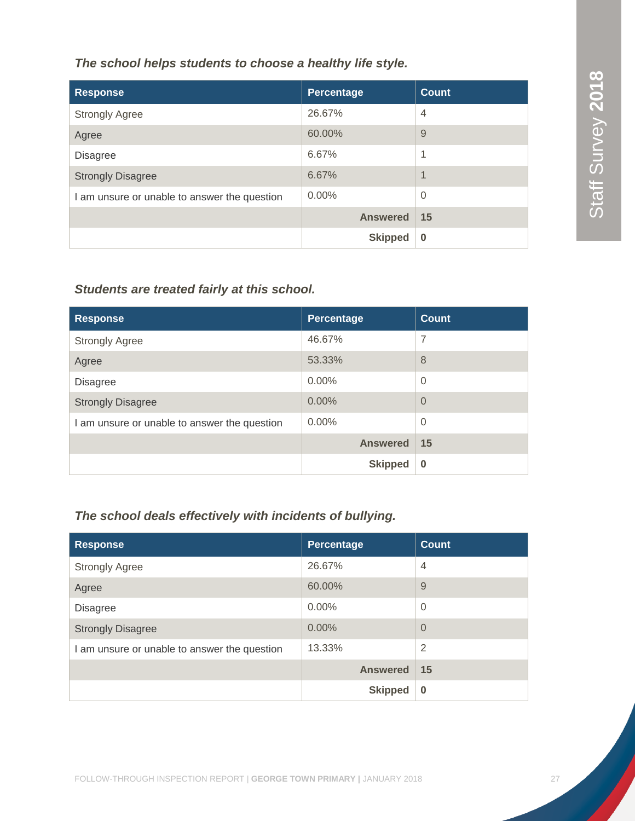*The school helps students to choose a healthy life style.*

| <b>Response</b>                              | Percentage      | <b>Count</b>             |
|----------------------------------------------|-----------------|--------------------------|
| <b>Strongly Agree</b>                        | 26.67%          | $\overline{4}$           |
| Agree                                        | 60.00%          | 9                        |
| <b>Disagree</b>                              | 6.67%           | 1                        |
| <b>Strongly Disagree</b>                     | 6.67%           | $\overline{\mathcal{A}}$ |
| I am unsure or unable to answer the question | $0.00\%$        | $\Omega$                 |
|                                              | <b>Answered</b> | 15                       |
|                                              | <b>Skipped</b>  | 0                        |

# *Students are treated fairly at this school.*

| <b>Response</b>                              | Percentage      | <b>Count</b> |
|----------------------------------------------|-----------------|--------------|
| <b>Strongly Agree</b>                        | 46.67%          | 7            |
| Agree                                        | 53.33%          | 8            |
| <b>Disagree</b>                              | $0.00\%$        | $\Omega$     |
| <b>Strongly Disagree</b>                     | 0.00%           | $\Omega$     |
| I am unsure or unable to answer the question | $0.00\%$        | $\Omega$     |
|                                              | <b>Answered</b> | 15           |
|                                              | <b>Skipped</b>  | $\bf{0}$     |

# *The school deals effectively with incidents of bullying.*

| <b>Response</b>                              | Percentage      | <b>Count</b>   |
|----------------------------------------------|-----------------|----------------|
| <b>Strongly Agree</b>                        | 26.67%          | $\overline{4}$ |
| Agree                                        | 60.00%          | 9              |
| <b>Disagree</b>                              | $0.00\%$        | $\overline{0}$ |
| <b>Strongly Disagree</b>                     | 0.00%           | $\overline{0}$ |
| I am unsure or unable to answer the question | 13.33%          | $\overline{2}$ |
|                                              | <b>Answered</b> | 15             |
|                                              | <b>Skipped</b>  | $\bf{0}$       |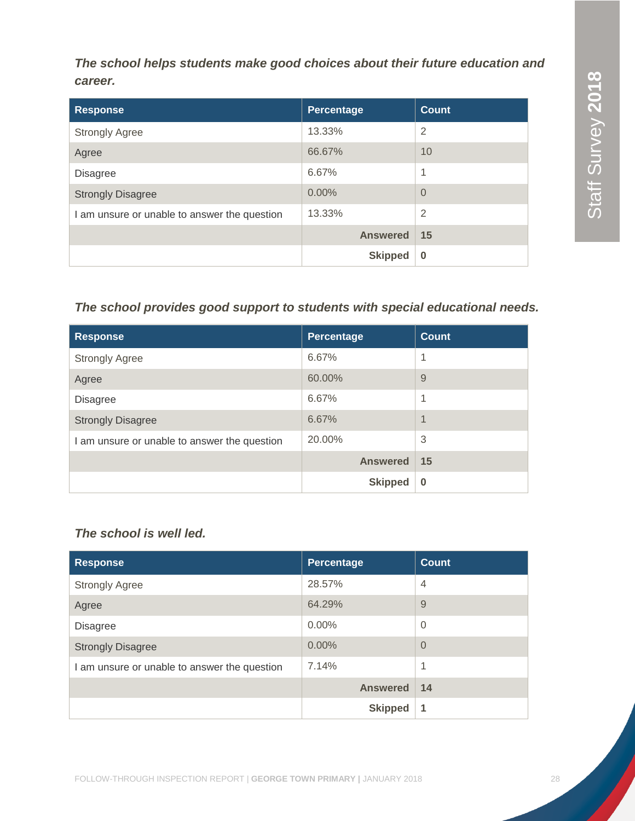*The school helps students make good choices about their future education and career.*

| <b>Response</b>                              | Percentage      | <b>Count</b>   |
|----------------------------------------------|-----------------|----------------|
| <b>Strongly Agree</b>                        | 13.33%          | $\overline{2}$ |
| Agree                                        | 66.67%          | 10             |
| <b>Disagree</b>                              | 6.67%           | 1              |
| <b>Strongly Disagree</b>                     | 0.00%           | $\Omega$       |
| I am unsure or unable to answer the question | 13.33%          | $\overline{2}$ |
|                                              | <b>Answered</b> | 15             |
|                                              | <b>Skipped</b>  | $\bf{0}$       |

# *The school provides good support to students with special educational needs.*

| <b>Response</b>                              | Percentage      | <b>Count</b>             |
|----------------------------------------------|-----------------|--------------------------|
| <b>Strongly Agree</b>                        | 6.67%           | 1                        |
| Agree                                        | 60.00%          | 9                        |
| <b>Disagree</b>                              | 6.67%           | 1                        |
| <b>Strongly Disagree</b>                     | 6.67%           | $\overline{\mathcal{A}}$ |
| I am unsure or unable to answer the question | 20.00%          | 3                        |
|                                              | <b>Answered</b> | 15                       |
|                                              | <b>Skipped</b>  | $\bf{0}$                 |

# *The school is well led.*

| <b>Response</b>                              | <b>Percentage</b> | <b>Count</b>   |
|----------------------------------------------|-------------------|----------------|
| <b>Strongly Agree</b>                        | 28.57%            | $\overline{4}$ |
| Agree                                        | 64.29%            | 9              |
| <b>Disagree</b>                              | $0.00\%$          | $\overline{0}$ |
| <b>Strongly Disagree</b>                     | 0.00%             | $\Omega$       |
| I am unsure or unable to answer the question | 7.14%             | 1              |
|                                              | <b>Answered</b>   | 14             |
|                                              | <b>Skipped</b>    | 1              |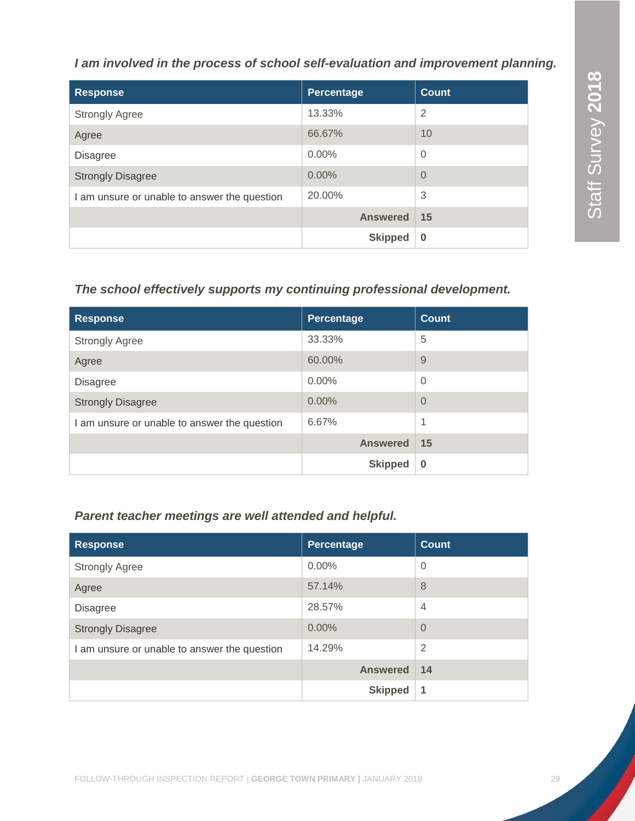# *I am involved in the process of school self-evaluation and improvement planning.*

| <b>Response</b>                              | Percentage      | <b>Count</b> |
|----------------------------------------------|-----------------|--------------|
| <b>Strongly Agree</b>                        | 13.33%          | 2            |
| Agree                                        | 66.67%          | 10           |
| <b>Disagree</b>                              | $0.00\%$        | $\Omega$     |
| <b>Strongly Disagree</b>                     | $0.00\%$        | $\Omega$     |
| I am unsure or unable to answer the question | 20.00%          | 3            |
|                                              | <b>Answered</b> | 15           |
|                                              | <b>Skipped</b>  | $\bf{0}$     |

# *The school effectively supports my continuing professional development.*

| <b>Response</b>                              | Percentage      | <b>Count</b> |
|----------------------------------------------|-----------------|--------------|
| <b>Strongly Agree</b>                        | 33.33%          | 5            |
| Agree                                        | 60.00%          | 9            |
| <b>Disagree</b>                              | $0.00\%$        | $\Omega$     |
| <b>Strongly Disagree</b>                     | 0.00%           | $\Omega$     |
| I am unsure or unable to answer the question | 6.67%           | 1            |
|                                              | <b>Answered</b> | 15           |
|                                              | <b>Skipped</b>  | $\bf{0}$     |

# *Parent teacher meetings are well attended and helpful.*

| <b>Response</b>                              | Percentage      | <b>Count</b>   |
|----------------------------------------------|-----------------|----------------|
| <b>Strongly Agree</b>                        | $0.00\%$        | $\overline{0}$ |
| Agree                                        | 57.14%          | 8              |
| <b>Disagree</b>                              | 28.57%          | $\overline{4}$ |
| <b>Strongly Disagree</b>                     | $0.00\%$        | $\overline{0}$ |
| I am unsure or unable to answer the question | 14.29%          | $\overline{2}$ |
|                                              | <b>Answered</b> | 14             |
|                                              | <b>Skipped</b>  | 1              |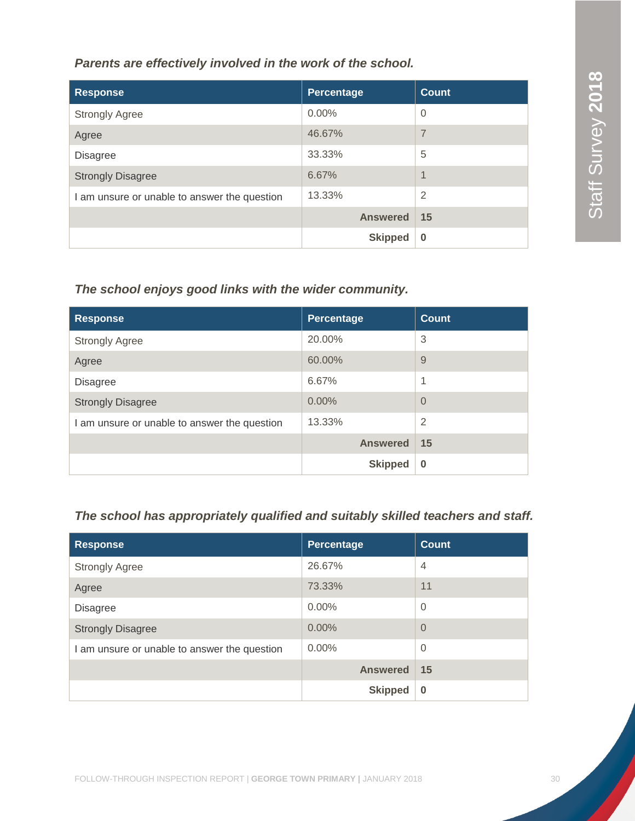*Parents are effectively involved in the work of the school.*

| <b>Response</b>                              | Percentage      | <b>Count</b>   |
|----------------------------------------------|-----------------|----------------|
| <b>Strongly Agree</b>                        | $0.00\%$        | $\overline{0}$ |
| Agree                                        | 46.67%          | 7              |
| <b>Disagree</b>                              | 33.33%          | 5              |
| <b>Strongly Disagree</b>                     | 6.67%           | 1              |
| I am unsure or unable to answer the question | 13.33%          | $\overline{2}$ |
|                                              | <b>Answered</b> | 15             |
|                                              | <b>Skipped</b>  | $\bf{0}$       |

# *The school enjoys good links with the wider community.*

| <b>Response</b>                              | Percentage      | <b>Count</b>   |
|----------------------------------------------|-----------------|----------------|
| <b>Strongly Agree</b>                        | 20.00%          | 3              |
| Agree                                        | 60.00%          | 9              |
| <b>Disagree</b>                              | 6.67%           | 1              |
| <b>Strongly Disagree</b>                     | 0.00%           | $\Omega$       |
| I am unsure or unable to answer the question | 13.33%          | $\overline{2}$ |
|                                              | <b>Answered</b> | 15             |
|                                              | <b>Skipped</b>  | $\bf{0}$       |

# *The school has appropriately qualified and suitably skilled teachers and staff.*

| <b>Response</b>                              | Percentage      | <b>Count</b>   |
|----------------------------------------------|-----------------|----------------|
| <b>Strongly Agree</b>                        | 26.67%          | $\overline{4}$ |
| Agree                                        | 73.33%          | 11             |
| <b>Disagree</b>                              | $0.00\%$        | $\overline{0}$ |
| <b>Strongly Disagree</b>                     | 0.00%           | $\overline{0}$ |
| I am unsure or unable to answer the question | $0.00\%$        | $\overline{0}$ |
|                                              | <b>Answered</b> | 15             |
|                                              | <b>Skipped</b>  | $\bf{0}$       |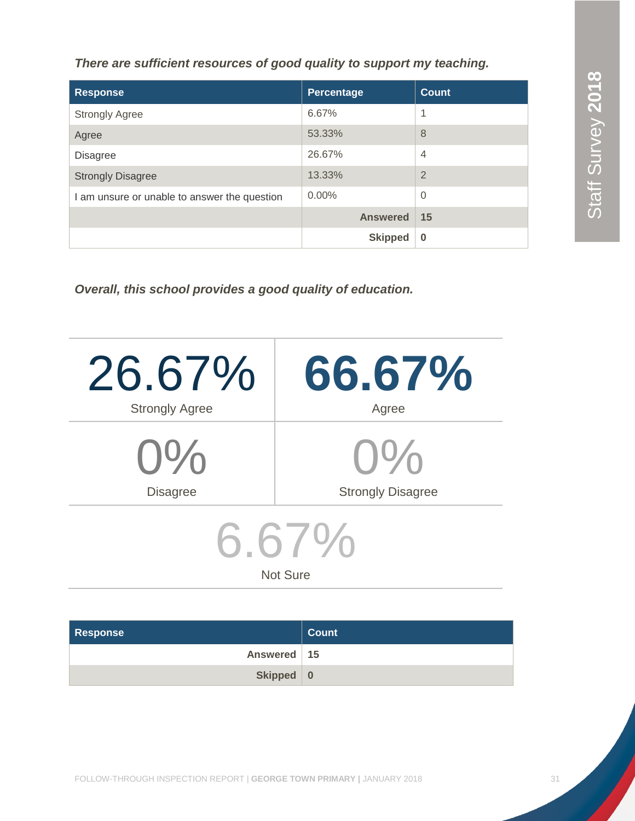Staff Survey 2018 Staff Survey **2018** Staff Survey **2018**

*There are sufficient resources of good quality to support my teaching.*

| <b>Response</b>                              | <b>Percentage</b> | <b>Count</b>   |
|----------------------------------------------|-------------------|----------------|
| <b>Strongly Agree</b>                        | 6.67%             |                |
| Agree                                        | 53.33%            | 8              |
| <b>Disagree</b>                              | 26.67%            | $\overline{4}$ |
| <b>Strongly Disagree</b>                     | 13.33%            | $\overline{2}$ |
| I am unsure or unable to answer the question | $0.00\%$          | $\overline{0}$ |
|                                              | <b>Answered</b>   | 15             |
|                                              | <b>Skipped</b>    | $\bf{0}$       |

*Overall, this school provides a good quality of education.*

| 26.67%                   | 66.67%                   |  |
|--------------------------|--------------------------|--|
| <b>Strongly Agree</b>    | Agree                    |  |
| $O\%$                    | $()$ %                   |  |
| <b>Disagree</b>          | <b>Strongly Disagree</b> |  |
| 6.67%<br><b>Not Sure</b> |                          |  |

| <b>Response</b> | <b>Count</b> |
|-----------------|--------------|
| Answered   15   |              |
| Skipped 0       |              |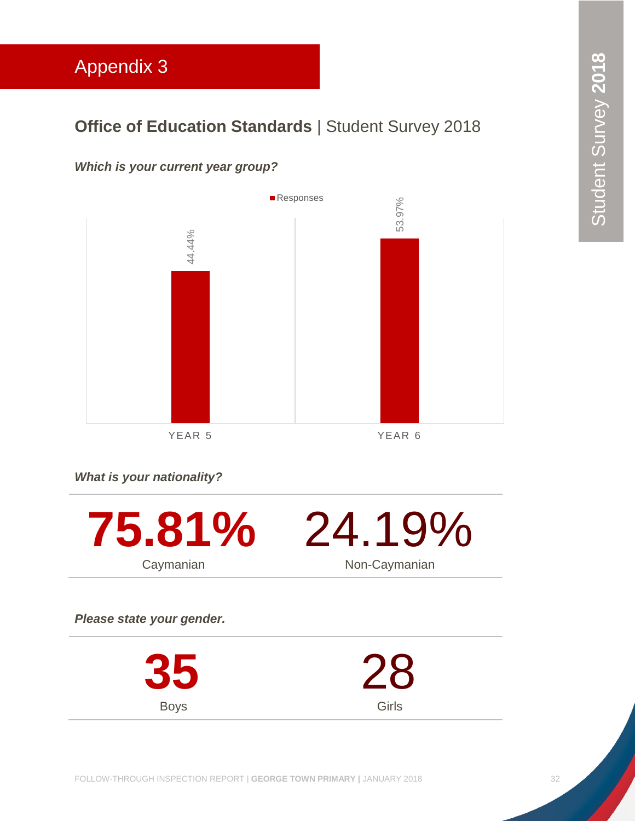# <span id="page-32-0"></span>Appendix 3

# **Office of Education Standards | Student Survey 2018**

# *Which is your current year group?*



*What is your nationality?*



*Please state your gender.*

**35** Boys 28 Girls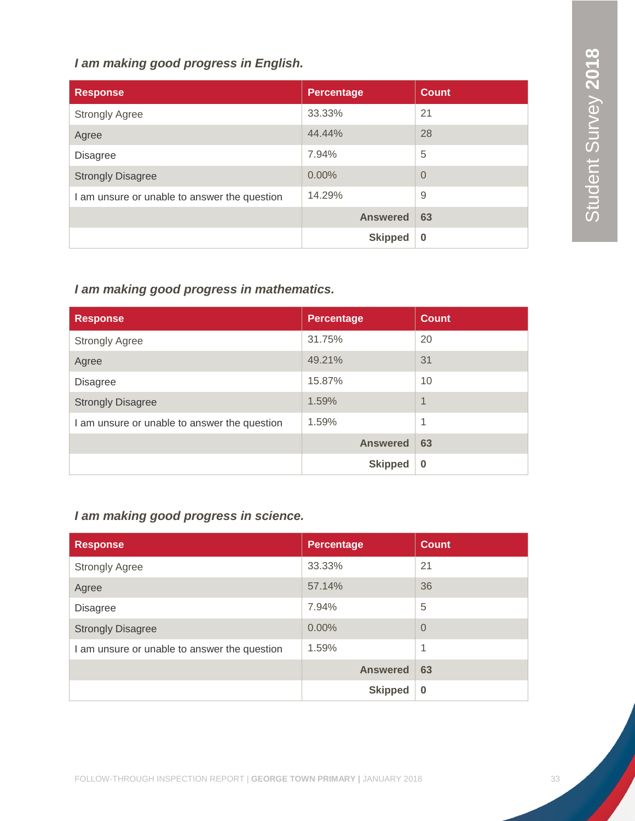# *I am making good progress in English.*

| <b>Response</b>                              | <b>Percentage</b> | <b>Count</b>   |
|----------------------------------------------|-------------------|----------------|
| <b>Strongly Agree</b>                        | 33.33%            | 21             |
| Agree                                        | 44.44%            | 28             |
| <b>Disagree</b>                              | 7.94%             | 5              |
| <b>Strongly Disagree</b>                     | $0.00\%$          | $\overline{0}$ |
| I am unsure or unable to answer the question | 14.29%            | 9              |
|                                              | <b>Answered</b>   | 63             |
|                                              | <b>Skipped</b>    | $\bf{0}$       |

# *I am making good progress in mathematics.*

| <b>Response</b>                              | <b>Percentage</b> | <b>Count</b> |
|----------------------------------------------|-------------------|--------------|
| <b>Strongly Agree</b>                        | 31.75%            | 20           |
| Agree                                        | 49.21%            | 31           |
| <b>Disagree</b>                              | 15.87%            | 10           |
| <b>Strongly Disagree</b>                     | 1.59%             | 1            |
| I am unsure or unable to answer the question | 1.59%             | 1            |
|                                              | <b>Answered</b>   | 63           |
|                                              | <b>Skipped</b>    | $\Omega$     |

# *I am making good progress in science.*

| <b>Response</b>                              | <b>Percentage</b> | <b>Count</b> |
|----------------------------------------------|-------------------|--------------|
| <b>Strongly Agree</b>                        | 33.33%            | 21           |
| Agree                                        | 57.14%            | 36           |
| <b>Disagree</b>                              | 7.94%             | 5            |
| <b>Strongly Disagree</b>                     | 0.00%             | $\Omega$     |
| I am unsure or unable to answer the question | 1.59%             | 1            |
|                                              | <b>Answered</b>   | 63           |
|                                              | <b>Skipped</b>    | $\bf{0}$     |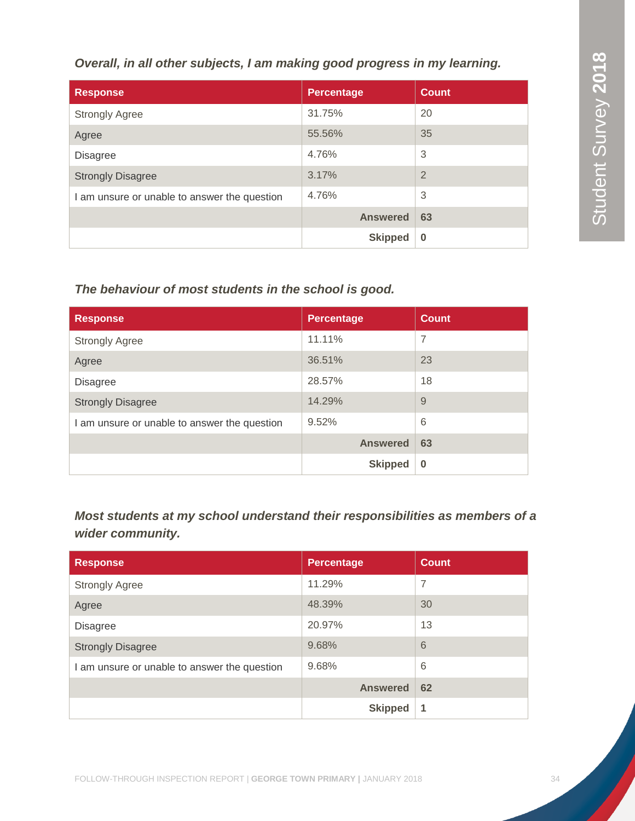*Overall, in all other subjects, I am making good progress in my learning.*

| <b>Response</b>                              | <b>Percentage</b> | <b>Count</b>   |
|----------------------------------------------|-------------------|----------------|
| <b>Strongly Agree</b>                        | 31.75%            | 20             |
| Agree                                        | 55.56%            | 35             |
| <b>Disagree</b>                              | 4.76%             | 3              |
| <b>Strongly Disagree</b>                     | 3.17%             | $\overline{2}$ |
| I am unsure or unable to answer the question | 4.76%             | 3              |
|                                              | <b>Answered</b>   | 63             |
|                                              | <b>Skipped</b>    | $\bf{0}$       |

# *The behaviour of most students in the school is good.*

| <b>Response</b>                              | <b>Percentage</b> | <b>Count</b>   |
|----------------------------------------------|-------------------|----------------|
| <b>Strongly Agree</b>                        | 11.11%            | $\overline{7}$ |
| Agree                                        | 36.51%            | 23             |
| <b>Disagree</b>                              | 28.57%            | 18             |
| <b>Strongly Disagree</b>                     | 14.29%            | 9              |
| I am unsure or unable to answer the question | 9.52%             | 6              |
|                                              | <b>Answered</b>   | 63             |
|                                              | <b>Skipped</b>    | $\Omega$       |

*Most students at my school understand their responsibilities as members of a wider community.*

| <b>Response</b>                              | <b>Percentage</b> | <b>Count</b> |
|----------------------------------------------|-------------------|--------------|
| <b>Strongly Agree</b>                        | 11.29%            | 7            |
| Agree                                        | 48.39%            | 30           |
| <b>Disagree</b>                              | 20.97%            | 13           |
| <b>Strongly Disagree</b>                     | 9.68%             | 6            |
| I am unsure or unable to answer the question | 9.68%             | 6            |
|                                              | <b>Answered</b>   | 62           |
|                                              | <b>Skipped</b>    | 1            |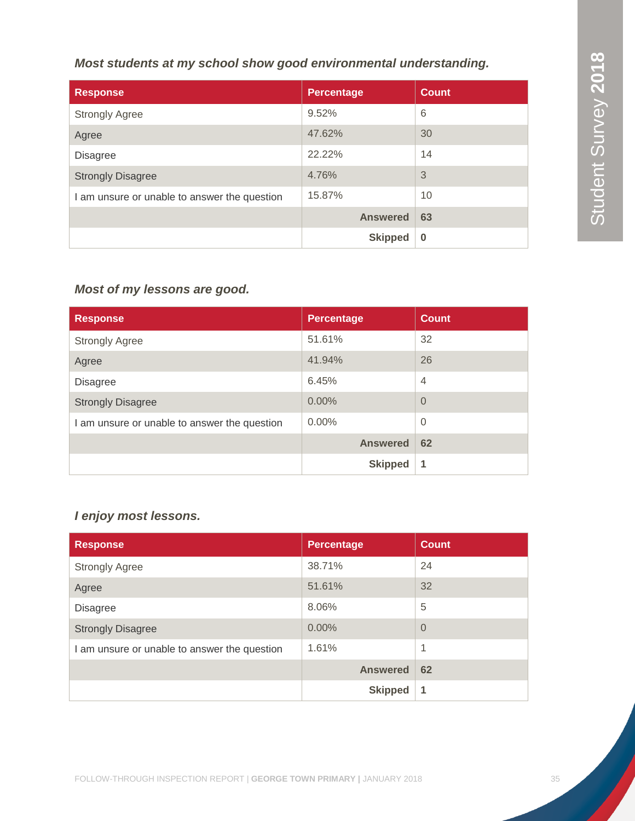# *Most students at my school show good environmental understanding.*

| <b>Response</b>                              | <b>Percentage</b> | <b>Count</b> |
|----------------------------------------------|-------------------|--------------|
| <b>Strongly Agree</b>                        | 9.52%             | 6            |
| Agree                                        | 47.62%            | 30           |
| <b>Disagree</b>                              | 22.22%            | 14           |
| <b>Strongly Disagree</b>                     | 4.76%             | 3            |
| I am unsure or unable to answer the question | 15.87%            | 10           |
|                                              | <b>Answered</b>   | 63           |
|                                              | <b>Skipped</b>    | $\bf{0}$     |

# *Most of my lessons are good.*

| <b>Response</b>                              | <b>Percentage</b> | <b>Count</b>   |
|----------------------------------------------|-------------------|----------------|
| <b>Strongly Agree</b>                        | 51.61%            | 32             |
| Agree                                        | 41.94%            | 26             |
| <b>Disagree</b>                              | 6.45%             | $\overline{4}$ |
| <b>Strongly Disagree</b>                     | $0.00\%$          | $\Omega$       |
| I am unsure or unable to answer the question | $0.00\%$          | $\Omega$       |
|                                              | <b>Answered</b>   | 62             |
|                                              | <b>Skipped</b>    | 1              |

# *I enjoy most lessons.*

| <b>Response</b>                              | <b>Percentage</b> | <b>Count</b>   |
|----------------------------------------------|-------------------|----------------|
| <b>Strongly Agree</b>                        | 38.71%            | 24             |
| Agree                                        | 51.61%            | 32             |
| <b>Disagree</b>                              | 8.06%             | 5              |
| <b>Strongly Disagree</b>                     | 0.00%             | $\overline{0}$ |
| I am unsure or unable to answer the question | 1.61%             | 1              |
|                                              | <b>Answered</b>   | 62             |
|                                              | <b>Skipped</b>    | 1              |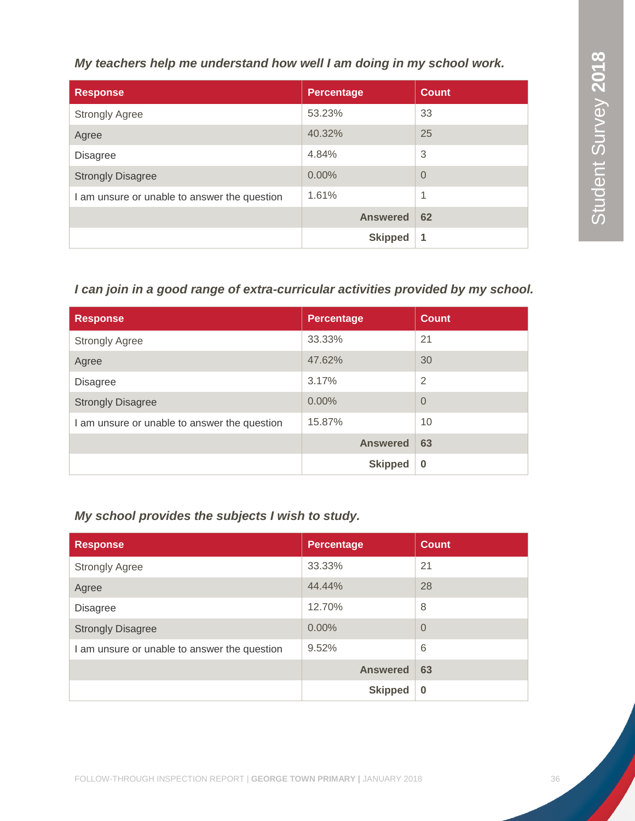*My teachers help me understand how well I am doing in my school work.*

| <b>Response</b>                              | <b>Percentage</b> | <b>Count</b>   |
|----------------------------------------------|-------------------|----------------|
| <b>Strongly Agree</b>                        | 53.23%            | 33             |
| Agree                                        | 40.32%            | 25             |
| <b>Disagree</b>                              | 4.84%             | 3              |
| <b>Strongly Disagree</b>                     | 0.00%             | $\overline{0}$ |
| I am unsure or unable to answer the question | 1.61%             | 1              |
|                                              | <b>Answered</b>   | 62             |
|                                              | <b>Skipped</b>    | 1              |

# *I can join in a good range of extra-curricular activities provided by my school.*

| <b>Response</b>                              | <b>Percentage</b> | <b>Count</b>   |
|----------------------------------------------|-------------------|----------------|
| <b>Strongly Agree</b>                        | 33.33%            | 21             |
| Agree                                        | 47.62%            | 30             |
| <b>Disagree</b>                              | 3.17%             | 2              |
| <b>Strongly Disagree</b>                     | 0.00%             | $\overline{0}$ |
| I am unsure or unable to answer the question | 15.87%            | 10             |
|                                              | <b>Answered</b>   | 63             |
|                                              | <b>Skipped</b>    | $\bf{0}$       |

# *My school provides the subjects I wish to study.*

| <b>Response</b>                              | <b>Percentage</b> | <b>Count</b>   |
|----------------------------------------------|-------------------|----------------|
| <b>Strongly Agree</b>                        | 33.33%            | 21             |
| Agree                                        | 44.44%            | 28             |
| <b>Disagree</b>                              | 12.70%            | 8              |
| <b>Strongly Disagree</b>                     | 0.00%             | $\overline{0}$ |
| I am unsure or unable to answer the question | 9.52%             | 6              |
|                                              | <b>Answered</b>   | 63             |
|                                              | <b>Skipped</b>    | $\bf{0}$       |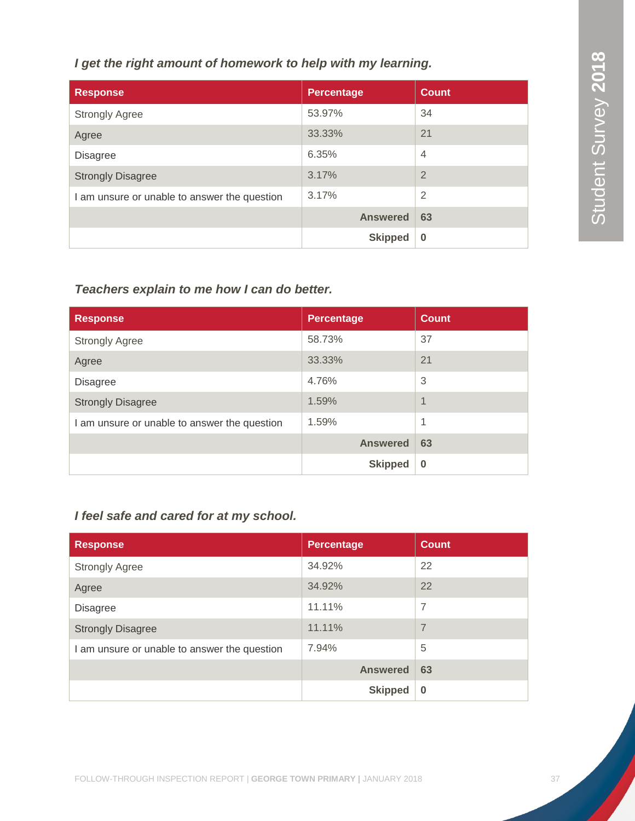# *I get the right amount of homework to help with my learning.*

| <b>Response</b>                              | <b>Percentage</b> | <b>Count</b>   |
|----------------------------------------------|-------------------|----------------|
| <b>Strongly Agree</b>                        | 53.97%            | 34             |
| Agree                                        | 33.33%            | 21             |
| <b>Disagree</b>                              | 6.35%             | $\overline{4}$ |
| <b>Strongly Disagree</b>                     | 3.17%             | $\overline{2}$ |
| I am unsure or unable to answer the question | 3.17%             | $\overline{2}$ |
|                                              | <b>Answered</b>   | 63             |
|                                              | <b>Skipped</b>    | $\bf{0}$       |

# *Teachers explain to me how I can do better.*

| <b>Response</b>                              | <b>Percentage</b> | <b>Count</b>   |
|----------------------------------------------|-------------------|----------------|
| <b>Strongly Agree</b>                        | 58.73%            | 37             |
| Agree                                        | 33.33%            | 21             |
| <b>Disagree</b>                              | 4.76%             | 3              |
| <b>Strongly Disagree</b>                     | 1.59%             | $\overline{1}$ |
| I am unsure or unable to answer the question | 1.59%             | 1              |
|                                              | <b>Answered</b>   | 63             |
|                                              | <b>Skipped</b>    | $\Omega$       |

# *I feel safe and cared for at my school.*

| <b>Response</b>                              | <b>Percentage</b> | <b>Count</b>   |
|----------------------------------------------|-------------------|----------------|
| <b>Strongly Agree</b>                        | 34.92%            | 22             |
| Agree                                        | 34.92%            | 22             |
| <b>Disagree</b>                              | 11.11%            | 7              |
| <b>Strongly Disagree</b>                     | 11.11%            | $\overline{7}$ |
| I am unsure or unable to answer the question | 7.94%             | 5              |
|                                              | <b>Answered</b>   | 63             |
|                                              | <b>Skipped</b>    | $\bf{0}$       |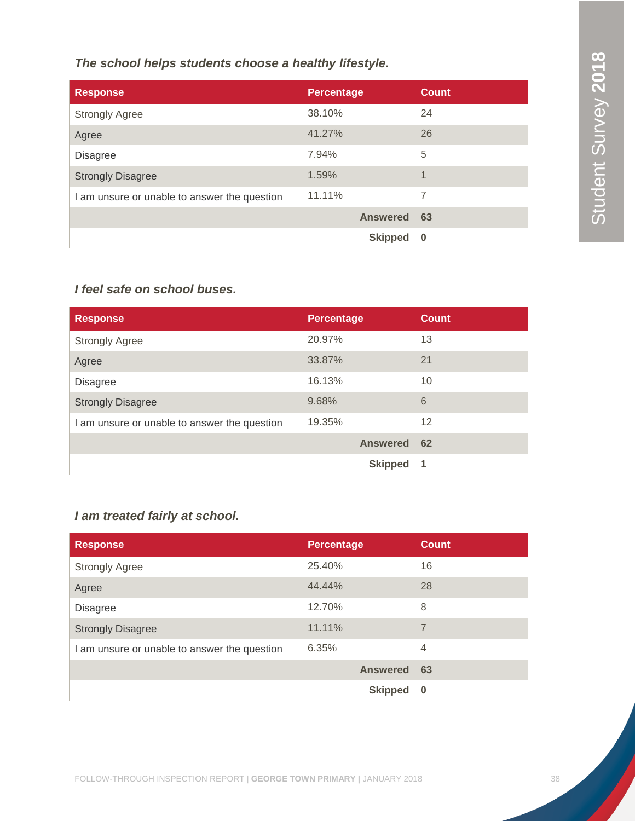*The school helps students choose a healthy lifestyle.*

| <b>Response</b>                              | <b>Percentage</b> | <b>Count</b>   |
|----------------------------------------------|-------------------|----------------|
| <b>Strongly Agree</b>                        | 38.10%            | 24             |
| Agree                                        | 41.27%            | 26             |
| <b>Disagree</b>                              | 7.94%             | 5              |
| <b>Strongly Disagree</b>                     | 1.59%             | 1              |
| I am unsure or unable to answer the question | 11.11%            | $\overline{7}$ |
|                                              | <b>Answered</b>   | 63             |
|                                              | <b>Skipped</b>    | $\bf{0}$       |

# *I feel safe on school buses.*

| <b>Response</b>                              | <b>Percentage</b> | <b>Count</b> |
|----------------------------------------------|-------------------|--------------|
| <b>Strongly Agree</b>                        | 20.97%            | 13           |
| Agree                                        | 33.87%            | 21           |
| <b>Disagree</b>                              | 16.13%            | 10           |
| <b>Strongly Disagree</b>                     | 9.68%             | 6            |
| I am unsure or unable to answer the question | 19.35%            | 12           |
|                                              | <b>Answered</b>   | 62           |
|                                              | <b>Skipped</b>    | 1            |

# *I am treated fairly at school.*

| <b>Response</b>                              | <b>Percentage</b> | <b>Count</b>   |
|----------------------------------------------|-------------------|----------------|
| <b>Strongly Agree</b>                        | 25.40%            | 16             |
| Agree                                        | 44.44%            | 28             |
| <b>Disagree</b>                              | 12.70%            | 8              |
| <b>Strongly Disagree</b>                     | 11.11%            | $\overline{7}$ |
| I am unsure or unable to answer the question | 6.35%             | $\overline{4}$ |
|                                              | <b>Answered</b>   | 63             |
|                                              | <b>Skipped</b>    | $\bf{0}$       |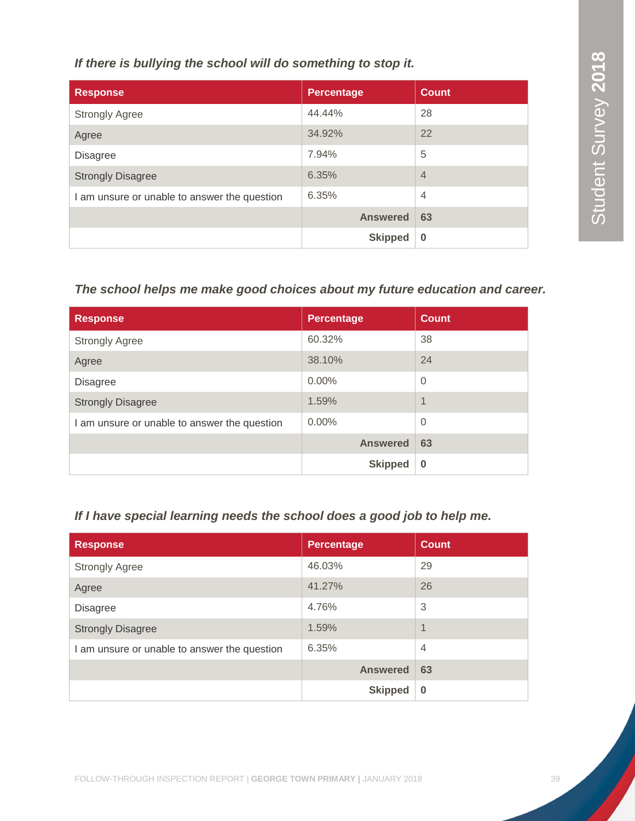*If there is bullying the school will do something to stop it.*

| <b>Response</b>                              | <b>Percentage</b> | <b>Count</b>   |
|----------------------------------------------|-------------------|----------------|
| <b>Strongly Agree</b>                        | 44.44%            | 28             |
| Agree                                        | 34.92%            | 22             |
| <b>Disagree</b>                              | 7.94%             | 5              |
| <b>Strongly Disagree</b>                     | 6.35%             | $\overline{4}$ |
| I am unsure or unable to answer the question | 6.35%             | $\overline{4}$ |
|                                              | <b>Answered</b>   | 63             |
|                                              | <b>Skipped</b>    | $\bf{0}$       |

# *The school helps me make good choices about my future education and career.*

| <b>Response</b>                              | <b>Percentage</b> | <b>Count</b>             |
|----------------------------------------------|-------------------|--------------------------|
| <b>Strongly Agree</b>                        | 60.32%            | 38                       |
| Agree                                        | 38.10%            | 24                       |
| <b>Disagree</b>                              | $0.00\%$          | $\overline{0}$           |
| <b>Strongly Disagree</b>                     | 1.59%             | $\overline{\mathcal{A}}$ |
| I am unsure or unable to answer the question | $0.00\%$          | $\overline{0}$           |
|                                              | <b>Answered</b>   | 63                       |
|                                              | <b>Skipped</b>    | $\bf{0}$                 |

# *If I have special learning needs the school does a good job to help me.*

| <b>Response</b>                              | Percentage      | <b>Count</b> |
|----------------------------------------------|-----------------|--------------|
| <b>Strongly Agree</b>                        | 46.03%          | 29           |
| Agree                                        | 41.27%          | 26           |
| <b>Disagree</b>                              | 4.76%           | 3            |
| <b>Strongly Disagree</b>                     | 1.59%           | 1            |
| I am unsure or unable to answer the question | 6.35%           | 4            |
|                                              | <b>Answered</b> | 63           |
|                                              | <b>Skipped</b>  | $\bf{0}$     |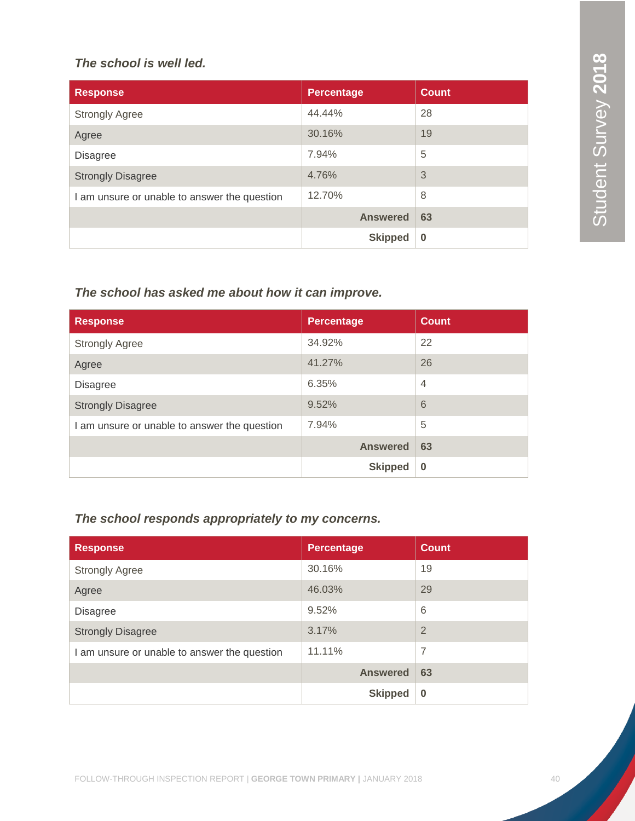# *The school is well led.*

| <b>Response</b>                              | <b>Percentage</b> | <b>Count</b> |
|----------------------------------------------|-------------------|--------------|
| <b>Strongly Agree</b>                        | 44.44%            | 28           |
| Agree                                        | 30.16%            | 19           |
| <b>Disagree</b>                              | 7.94%             | 5            |
| <b>Strongly Disagree</b>                     | 4.76%             | 3            |
| I am unsure or unable to answer the question | 12.70%            | 8            |
|                                              | <b>Answered</b>   | 63           |
|                                              | <b>Skipped</b>    | $\bf{0}$     |

# *The school has asked me about how it can improve.*

| <b>Response</b>                              | <b>Percentage</b> | <b>Count</b>   |
|----------------------------------------------|-------------------|----------------|
| <b>Strongly Agree</b>                        | 34.92%            | 22             |
| Agree                                        | 41.27%            | 26             |
| <b>Disagree</b>                              | 6.35%             | $\overline{4}$ |
| <b>Strongly Disagree</b>                     | 9.52%             | 6              |
| I am unsure or unable to answer the question | 7.94%             | 5              |
|                                              | <b>Answered</b>   | 63             |
|                                              | <b>Skipped</b>    | $\bf{0}$       |

# *The school responds appropriately to my concerns.*

| <b>Response</b>                              | <b>Percentage</b> | <b>Count</b> |
|----------------------------------------------|-------------------|--------------|
| <b>Strongly Agree</b>                        | 30.16%            | 19           |
| Agree                                        | 46.03%            | 29           |
| <b>Disagree</b>                              | 9.52%             | 6            |
| <b>Strongly Disagree</b>                     | 3.17%             | 2            |
| I am unsure or unable to answer the question | 11.11%            | 7            |
|                                              | <b>Answered</b>   | 63           |
|                                              | <b>Skipped</b>    | $\bf{0}$     |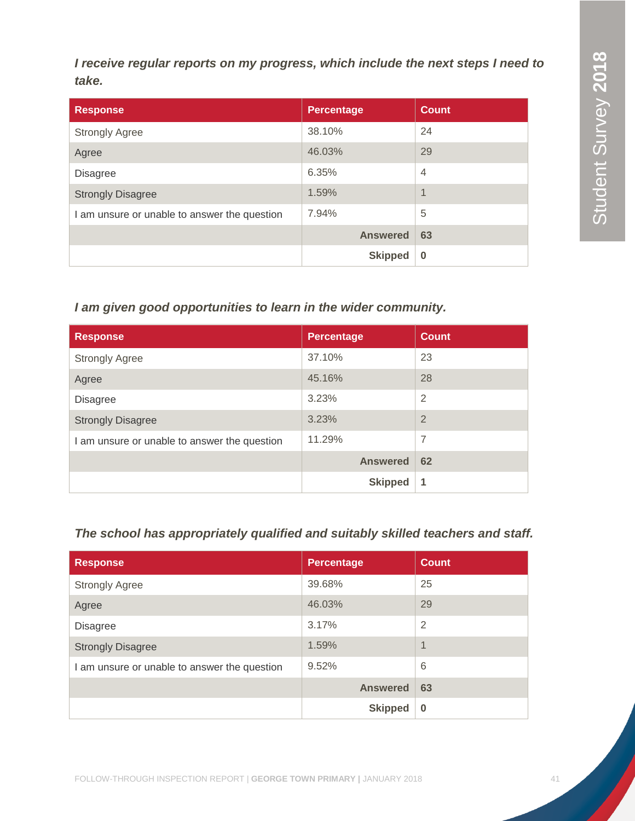*I receive regular reports on my progress, which include the next steps I need to take.*

| <b>Response</b>                              | <b>Percentage</b> | <b>Count</b>   |
|----------------------------------------------|-------------------|----------------|
| <b>Strongly Agree</b>                        | 38.10%            | 24             |
| Agree                                        | 46.03%            | 29             |
| <b>Disagree</b>                              | 6.35%             | $\overline{4}$ |
| <b>Strongly Disagree</b>                     | 1.59%             | 1              |
| I am unsure or unable to answer the question | 7.94%             | 5              |
|                                              | <b>Answered</b>   | 63             |
|                                              | <b>Skipped</b>    | $\bf{0}$       |

# *I am given good opportunities to learn in the wider community.*

| <b>Response</b>                              | <b>Percentage</b> | <b>Count</b>   |
|----------------------------------------------|-------------------|----------------|
| <b>Strongly Agree</b>                        | 37.10%            | 23             |
| Agree                                        | 45.16%            | 28             |
| <b>Disagree</b>                              | 3.23%             | $\overline{2}$ |
| <b>Strongly Disagree</b>                     | 3.23%             | $\overline{2}$ |
| I am unsure or unable to answer the question | 11.29%            | 7              |
|                                              | <b>Answered</b>   | 62             |
|                                              | <b>Skipped</b>    | 1              |

# *The school has appropriately qualified and suitably skilled teachers and staff.*

| <b>Response</b>                              | <b>Percentage</b> | <b>Count</b> |
|----------------------------------------------|-------------------|--------------|
| <b>Strongly Agree</b>                        | 39.68%            | 25           |
| Agree                                        | 46.03%            | 29           |
| <b>Disagree</b>                              | 3.17%             | 2            |
| <b>Strongly Disagree</b>                     | 1.59%             | 1            |
| I am unsure or unable to answer the question | 9.52%             | 6            |
|                                              | <b>Answered</b>   | 63           |
|                                              | <b>Skipped</b>    | $\bf{0}$     |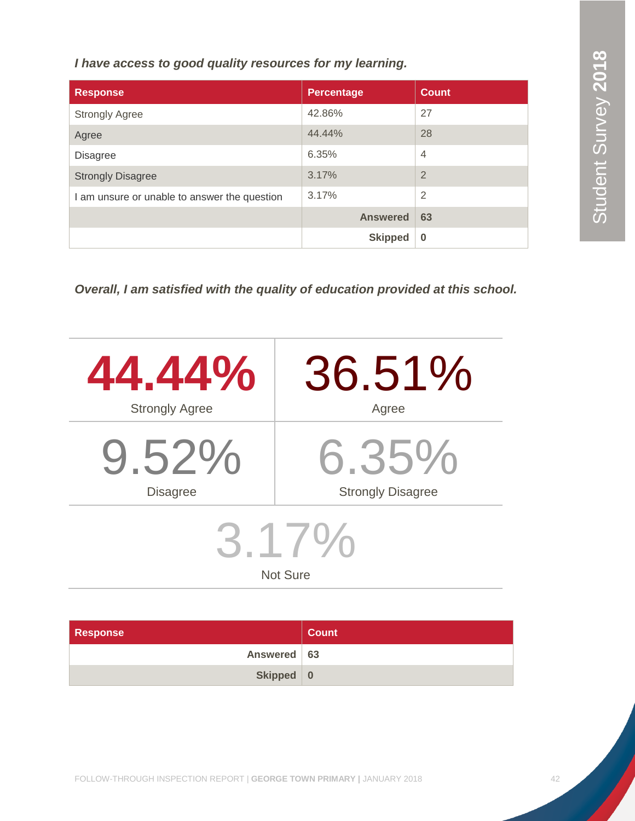*I have access to good quality resources for my learning.*

| <b>Response</b>                              | <b>Percentage</b> | <b>Count</b>   |
|----------------------------------------------|-------------------|----------------|
| <b>Strongly Agree</b>                        | 42.86%            | 27             |
| Agree                                        | 44.44%            | 28             |
| <b>Disagree</b>                              | 6.35%             | $\overline{4}$ |
| <b>Strongly Disagree</b>                     | 3.17%             | $\overline{2}$ |
| I am unsure or unable to answer the question | 3.17%             | $\overline{2}$ |
|                                              | <b>Answered</b>   | 63             |
|                                              | <b>Skipped</b>    | $\bf{0}$       |

*Overall, I am satisfied with the quality of education provided at this school.*

| 44.44%                      | 36.51%                   |  |  |
|-----------------------------|--------------------------|--|--|
| <b>Strongly Agree</b>       | Agree                    |  |  |
| $9.52\%$                    | $6.35\%$                 |  |  |
| <b>Disagree</b>             | <b>Strongly Disagree</b> |  |  |
| $3.1/$ %<br><b>Not Sure</b> |                          |  |  |

| <b>Response</b> | <b>Count</b> |
|-----------------|--------------|
| Answered   63   |              |
| Skipped 0       |              |